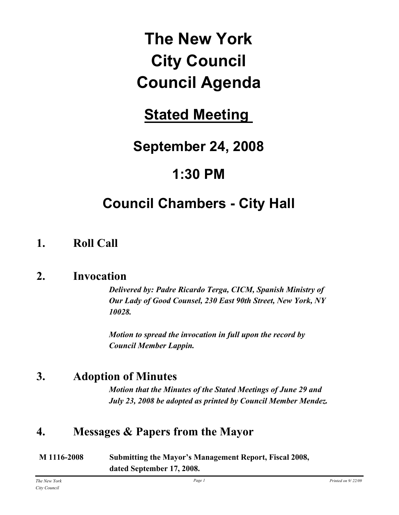# **The New York City Council Council Agenda**

# **Stated Meeting**

# **September 24, 2008**

# **1:30 PM**

# **Council Chambers - City Hall**

### **1. Roll Call**

### **2. Invocation**

*Delivered by: Padre Ricardo Terga, CICM, Spanish Ministry of Our Lady of Good Counsel, 230 East 90th Street, New York, NY 10028.*

*Motion to spread the invocation in full upon the record by Council Member Lappin.*

## **3. Adoption of Minutes**

*Motion that the Minutes of the Stated Meetings of June 29 and July 23, 2008 be adopted as printed by Council Member Mendez.*

### **4. Messages & Papers from the Mayor**

| M 1116-2008 | <b>Submitting the Mayor's Management Report, Fiscal 2008,</b> |
|-------------|---------------------------------------------------------------|
|             | dated September 17, 2008.                                     |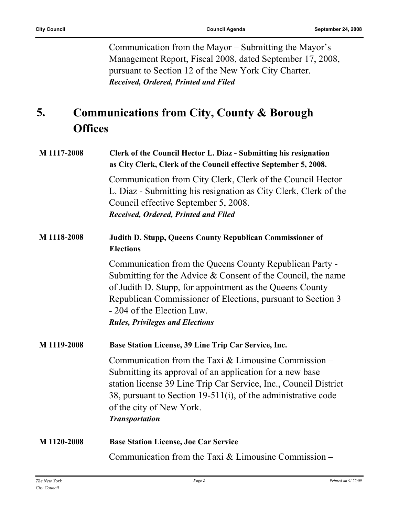Communication from the Mayor – Submitting the Mayor's Management Report, Fiscal 2008, dated September 17, 2008, pursuant to Section 12 of the New York City Charter. *Received, Ordered, Printed and Filed*

#### **Communications from City, County & Borough Offices 5.**

| M 1117-2008 | Clerk of the Council Hector L. Diaz - Submitting his resignation<br>as City Clerk, Clerk of the Council effective September 5, 2008.                                                                                                                                                                                       |
|-------------|----------------------------------------------------------------------------------------------------------------------------------------------------------------------------------------------------------------------------------------------------------------------------------------------------------------------------|
|             | Communication from City Clerk, Clerk of the Council Hector<br>L. Diaz - Submitting his resignation as City Clerk, Clerk of the<br>Council effective September 5, 2008.<br>Received, Ordered, Printed and Filed                                                                                                             |
| M 1118-2008 | Judith D. Stupp, Queens County Republican Commissioner of<br><b>Elections</b>                                                                                                                                                                                                                                              |
|             | Communication from the Queens County Republican Party -<br>Submitting for the Advice & Consent of the Council, the name<br>of Judith D. Stupp, for appointment as the Queens County<br>Republican Commissioner of Elections, pursuant to Section 3<br>- 204 of the Election Law.<br><b>Rules, Privileges and Elections</b> |
| M 1119-2008 | Base Station License, 39 Line Trip Car Service, Inc.                                                                                                                                                                                                                                                                       |
|             | Communication from the Taxi $&$ Limousine Commission –<br>Submitting its approval of an application for a new base<br>station license 39 Line Trip Car Service, Inc., Council District<br>38, pursuant to Section 19-511(i), of the administrative code<br>of the city of New York.<br><b>Transportation</b>               |
| M 1120-2008 | <b>Base Station License, Joe Car Service</b>                                                                                                                                                                                                                                                                               |
|             | Communication from the Taxi & Limousine Commission –                                                                                                                                                                                                                                                                       |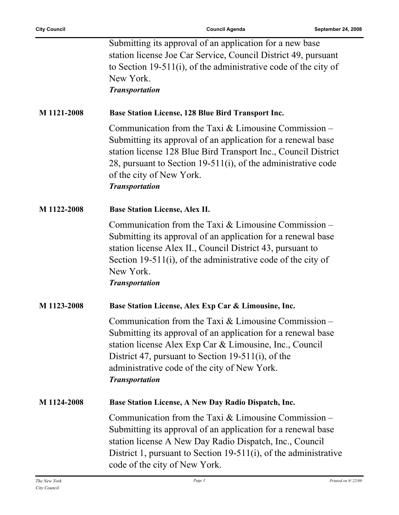| <b>City Council</b> | <b>Council Agenda</b><br>September 24, 2008                                                                                                                                                                                                                                                                      |  |
|---------------------|------------------------------------------------------------------------------------------------------------------------------------------------------------------------------------------------------------------------------------------------------------------------------------------------------------------|--|
|                     | Submitting its approval of an application for a new base<br>station license Joe Car Service, Council District 49, pursuant<br>to Section 19-511(i), of the administrative code of the city of<br>New York.<br><b>Transportation</b>                                                                              |  |
| M 1121-2008         | <b>Base Station License, 128 Blue Bird Transport Inc.</b>                                                                                                                                                                                                                                                        |  |
|                     | Communication from the Taxi $&$ Limousine Commission –<br>Submitting its approval of an application for a renewal base<br>station license 128 Blue Bird Transport Inc., Council District<br>28, pursuant to Section 19-511(i), of the administrative code<br>of the city of New York.<br><b>Transportation</b>   |  |
| M 1122-2008         | <b>Base Station License, Alex II.</b>                                                                                                                                                                                                                                                                            |  |
|                     | Communication from the Taxi $&$ Limousine Commission –<br>Submitting its approval of an application for a renewal base<br>station license Alex II., Council District 43, pursuant to<br>Section 19-511(i), of the administrative code of the city of<br>New York.<br><b>Transportation</b>                       |  |
| M 1123-2008         | Base Station License, Alex Exp Car & Limousine, Inc.                                                                                                                                                                                                                                                             |  |
|                     | Communication from the Taxi $&$ Limousine Commission –<br>Submitting its approval of an application for a renewal base<br>station license Alex Exp Car & Limousine, Inc., Council<br>District 47, pursuant to Section 19-511(i), of the<br>administrative code of the city of New York.<br><b>Transportation</b> |  |
| M 1124-2008         | Base Station License, A New Day Radio Dispatch, Inc.                                                                                                                                                                                                                                                             |  |
|                     | Communication from the Taxi $&$ Limousine Commission –<br>Submitting its approval of an application for a renewal base<br>station license A New Day Radio Dispatch, Inc., Council<br>District 1, pursuant to Section 19-511(i), of the administrative<br>code of the city of New York.                           |  |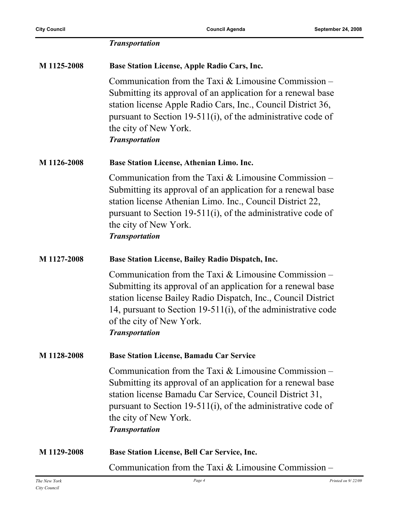|             | <b>Transportation</b>                                                                                                                                                                                                                                                                                         |
|-------------|---------------------------------------------------------------------------------------------------------------------------------------------------------------------------------------------------------------------------------------------------------------------------------------------------------------|
| M 1125-2008 | <b>Base Station License, Apple Radio Cars, Inc.</b>                                                                                                                                                                                                                                                           |
|             | Communication from the Taxi $&$ Limousine Commission –<br>Submitting its approval of an application for a renewal base<br>station license Apple Radio Cars, Inc., Council District 36,<br>pursuant to Section 19-511(i), of the administrative code of<br>the city of New York.<br><b>Transportation</b>      |
| M 1126-2008 | <b>Base Station License, Athenian Limo. Inc.</b>                                                                                                                                                                                                                                                              |
|             | Communication from the Taxi $&$ Limousine Commission –<br>Submitting its approval of an application for a renewal base<br>station license Athenian Limo. Inc., Council District 22,<br>pursuant to Section 19-511(i), of the administrative code of<br>the city of New York.<br><b>Transportation</b>         |
| M 1127-2008 | <b>Base Station License, Bailey Radio Dispatch, Inc.</b>                                                                                                                                                                                                                                                      |
|             | Communication from the Taxi $&$ Limousine Commission –<br>Submitting its approval of an application for a renewal base<br>station license Bailey Radio Dispatch, Inc., Council District<br>14, pursuant to Section 19-511(i), of the administrative code<br>of the city of New York.<br><b>Transportation</b> |
| M 1128-2008 | <b>Base Station License, Bamadu Car Service</b>                                                                                                                                                                                                                                                               |
|             | Communication from the Taxi $&$ Limousine Commission –<br>Submitting its approval of an application for a renewal base<br>station license Bamadu Car Service, Council District 31,<br>pursuant to Section 19-511(i), of the administrative code of<br>the city of New York.<br><b>Transportation</b>          |
| M 1129-2008 | <b>Base Station License, Bell Car Service, Inc.</b>                                                                                                                                                                                                                                                           |
|             | Communication from the Taxi $&$ Limousine Commission –                                                                                                                                                                                                                                                        |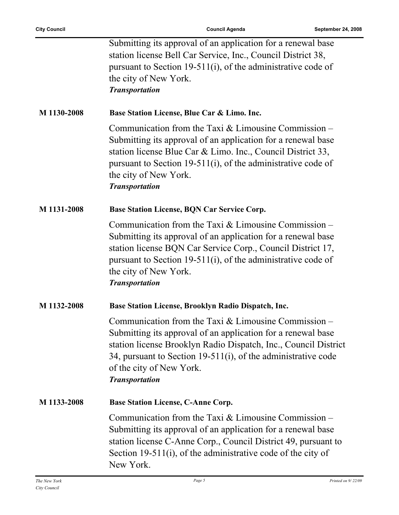|             | Submitting its approval of an application for a renewal base<br>station license Bell Car Service, Inc., Council District 38,<br>pursuant to Section 19-511(i), of the administrative code of<br>the city of New York.<br><b>Transportation</b>                                                                  |
|-------------|-----------------------------------------------------------------------------------------------------------------------------------------------------------------------------------------------------------------------------------------------------------------------------------------------------------------|
| M 1130-2008 | Base Station License, Blue Car & Limo. Inc.                                                                                                                                                                                                                                                                     |
|             | Communication from the Taxi $&$ Limousine Commission –<br>Submitting its approval of an application for a renewal base<br>station license Blue Car & Limo. Inc., Council District 33,<br>pursuant to Section 19-511(i), of the administrative code of<br>the city of New York.<br><b>Transportation</b>         |
| M 1131-2008 | <b>Base Station License, BQN Car Service Corp.</b>                                                                                                                                                                                                                                                              |
|             | Communication from the Taxi $&$ Limousine Commission –<br>Submitting its approval of an application for a renewal base<br>station license BQN Car Service Corp., Council District 17,<br>pursuant to Section 19-511(i), of the administrative code of<br>the city of New York.<br><b>Transportation</b>         |
| M 1132-2008 | Base Station License, Brooklyn Radio Dispatch, Inc.                                                                                                                                                                                                                                                             |
|             | Communication from the Taxi $&$ Limousine Commission –<br>Submitting its approval of an application for a renewal base<br>station license Brooklyn Radio Dispatch, Inc., Council District<br>34, pursuant to Section 19-511(i), of the administrative code<br>of the city of New York.<br><b>Transportation</b> |
| M 1133-2008 | <b>Base Station License, C-Anne Corp.</b>                                                                                                                                                                                                                                                                       |
|             | Communication from the Taxi $&$ Limousine Commission –<br>Submitting its approval of an application for a renewal base<br>station license C-Anne Corp., Council District 49, pursuant to<br>Section 19-511(i), of the administrative code of the city of<br>New York.                                           |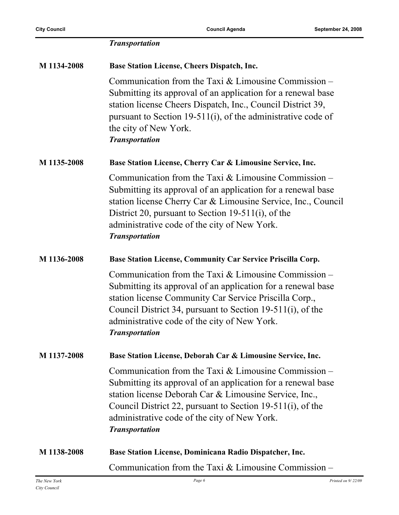|             | <b>Transportation</b>                                                                                                                                                                                                                                                                                                   |
|-------------|-------------------------------------------------------------------------------------------------------------------------------------------------------------------------------------------------------------------------------------------------------------------------------------------------------------------------|
| M 1134-2008 | <b>Base Station License, Cheers Dispatch, Inc.</b>                                                                                                                                                                                                                                                                      |
|             | Communication from the Taxi $&$ Limousine Commission –<br>Submitting its approval of an application for a renewal base<br>station license Cheers Dispatch, Inc., Council District 39,<br>pursuant to Section 19-511(i), of the administrative code of<br>the city of New York.<br><b>Transportation</b>                 |
| M 1135-2008 | Base Station License, Cherry Car & Limousine Service, Inc.                                                                                                                                                                                                                                                              |
|             | Communication from the Taxi $&$ Limousine Commission –<br>Submitting its approval of an application for a renewal base<br>station license Cherry Car & Limousine Service, Inc., Council<br>District 20, pursuant to Section 19-511(i), of the<br>administrative code of the city of New York.<br><b>Transportation</b>  |
| M 1136-2008 | Base Station License, Community Car Service Priscilla Corp.                                                                                                                                                                                                                                                             |
|             | Communication from the Taxi $&$ Limousine Commission –<br>Submitting its approval of an application for a renewal base<br>station license Community Car Service Priscilla Corp.,<br>Council District 34, pursuant to Section 19-511(i), of the<br>administrative code of the city of New York.<br><b>Transportation</b> |
| M 1137-2008 | Base Station License, Deborah Car & Limousine Service, Inc.                                                                                                                                                                                                                                                             |
|             | Communication from the Taxi $&$ Limousine Commission –<br>Submitting its approval of an application for a renewal base<br>station license Deborah Car & Limousine Service, Inc.,<br>Council District 22, pursuant to Section 19-511(i), of the<br>administrative code of the city of New York.<br><b>Transportation</b> |
| M 1138-2008 | Base Station License, Dominicana Radio Dispatcher, Inc.                                                                                                                                                                                                                                                                 |
|             | Communication from the Taxi $&$ Limousine Commission –                                                                                                                                                                                                                                                                  |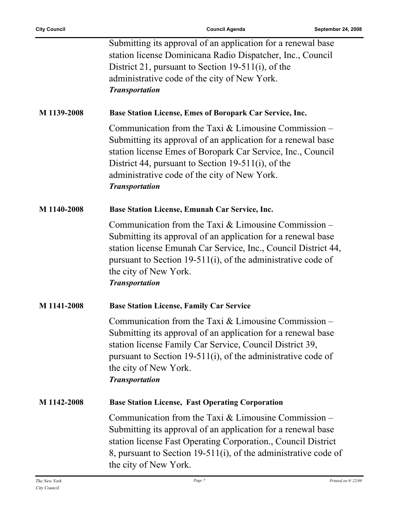|             | Submitting its approval of an application for a renewal base<br>station license Dominicana Radio Dispatcher, Inc., Council<br>District 21, pursuant to Section 19-511(i), of the<br>administrative code of the city of New York.<br><b>Transportation</b>                                                            |
|-------------|----------------------------------------------------------------------------------------------------------------------------------------------------------------------------------------------------------------------------------------------------------------------------------------------------------------------|
| M 1139-2008 | Base Station License, Emes of Boropark Car Service, Inc.                                                                                                                                                                                                                                                             |
|             | Communication from the Taxi $&$ Limousine Commission –<br>Submitting its approval of an application for a renewal base<br>station license Emes of Boropark Car Service, Inc., Council<br>District 44, pursuant to Section 19-511(i), of the<br>administrative code of the city of New York.<br><b>Transportation</b> |
| M 1140-2008 | Base Station License, Emunah Car Service, Inc.                                                                                                                                                                                                                                                                       |
|             | Communication from the Taxi $&$ Limousine Commission –<br>Submitting its approval of an application for a renewal base<br>station license Emunah Car Service, Inc., Council District 44,<br>pursuant to Section 19-511(i), of the administrative code of<br>the city of New York.<br><b>Transportation</b>           |
| M 1141-2008 | <b>Base Station License, Family Car Service</b>                                                                                                                                                                                                                                                                      |
|             | Communication from the Taxi $&$ Limousine Commission –<br>Submitting its approval of an application for a renewal base<br>station license Family Car Service, Council District 39,<br>pursuant to Section 19-511(i), of the administrative code of<br>the city of New York.<br><b>Transportation</b>                 |
| M 1142-2008 | <b>Base Station License, Fast Operating Corporation</b>                                                                                                                                                                                                                                                              |
|             | Communication from the Taxi $&$ Limousine Commission –<br>Submitting its approval of an application for a renewal base<br>station license Fast Operating Corporation., Council District<br>8, pursuant to Section 19-511(i), of the administrative code of<br>the city of New York.                                  |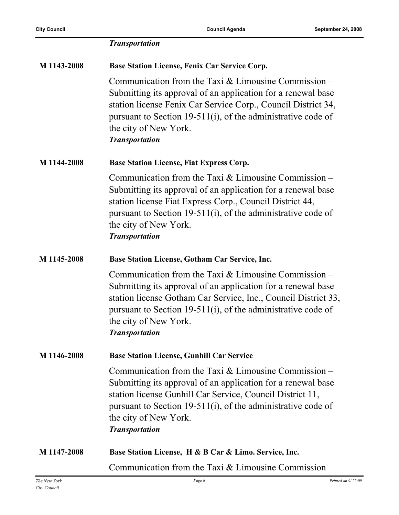|             | <b>Transportation</b>                                                                                                                                                                                                                                                                                      |
|-------------|------------------------------------------------------------------------------------------------------------------------------------------------------------------------------------------------------------------------------------------------------------------------------------------------------------|
| M 1143-2008 | <b>Base Station License, Fenix Car Service Corp.</b>                                                                                                                                                                                                                                                       |
|             | Communication from the Taxi $&$ Limousine Commission –<br>Submitting its approval of an application for a renewal base<br>station license Fenix Car Service Corp., Council District 34,<br>pursuant to Section 19-511(i), of the administrative code of<br>the city of New York.<br><b>Transportation</b>  |
| M 1144-2008 | <b>Base Station License, Fiat Express Corp.</b>                                                                                                                                                                                                                                                            |
|             | Communication from the Taxi $&$ Limousine Commission –<br>Submitting its approval of an application for a renewal base<br>station license Fiat Express Corp., Council District 44,<br>pursuant to Section 19-511(i), of the administrative code of<br>the city of New York.<br><b>Transportation</b>       |
| M 1145-2008 | Base Station License, Gotham Car Service, Inc.                                                                                                                                                                                                                                                             |
|             | Communication from the Taxi $&$ Limousine Commission –<br>Submitting its approval of an application for a renewal base<br>station license Gotham Car Service, Inc., Council District 33,<br>pursuant to Section 19-511(i), of the administrative code of<br>the city of New York.<br><b>Transportation</b> |
| M 1146-2008 | <b>Base Station License, Gunhill Car Service</b>                                                                                                                                                                                                                                                           |
|             | Communication from the Taxi $&$ Limousine Commission –<br>Submitting its approval of an application for a renewal base<br>station license Gunhill Car Service, Council District 11,<br>pursuant to Section 19-511(i), of the administrative code of<br>the city of New York.<br><b>Transportation</b>      |
| M 1147-2008 | Base Station License, H & B Car & Limo. Service, Inc.                                                                                                                                                                                                                                                      |
|             | Communication from the Taxi $&$ Limousine Commission –                                                                                                                                                                                                                                                     |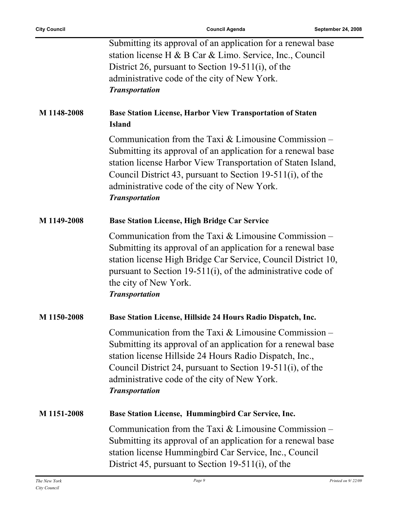ř.

|             | Submitting its approval of an application for a renewal base                                                                                                                                                                                                                                                                  |
|-------------|-------------------------------------------------------------------------------------------------------------------------------------------------------------------------------------------------------------------------------------------------------------------------------------------------------------------------------|
|             | station license H & B Car & Limo. Service, Inc., Council                                                                                                                                                                                                                                                                      |
|             | District 26, pursuant to Section 19-511(i), of the                                                                                                                                                                                                                                                                            |
|             | administrative code of the city of New York.                                                                                                                                                                                                                                                                                  |
|             | <b>Transportation</b>                                                                                                                                                                                                                                                                                                         |
| M 1148-2008 | <b>Base Station License, Harbor View Transportation of Staten</b><br><b>Island</b>                                                                                                                                                                                                                                            |
|             | Communication from the Taxi $&$ Limousine Commission –<br>Submitting its approval of an application for a renewal base<br>station license Harbor View Transportation of Staten Island,<br>Council District 43, pursuant to Section 19-511(i), of the<br>administrative code of the city of New York.<br><b>Transportation</b> |
| M 1149-2008 | <b>Base Station License, High Bridge Car Service</b>                                                                                                                                                                                                                                                                          |
|             | Communication from the Taxi $&$ Limousine Commission –<br>Submitting its approval of an application for a renewal base<br>station license High Bridge Car Service, Council District 10,<br>pursuant to Section 19-511(i), of the administrative code of<br>the city of New York.<br><b>Transportation</b>                     |
| M 1150-2008 | Base Station License, Hillside 24 Hours Radio Dispatch, Inc.                                                                                                                                                                                                                                                                  |
|             | Communication from the Taxi $&$ Limousine Commission –<br>Submitting its approval of an application for a renewal base<br>station license Hillside 24 Hours Radio Dispatch, Inc.,<br>Council District 24, pursuant to Section 19-511(i), of the<br>administrative code of the city of New York.<br><b>Transportation</b>      |
| M 1151-2008 | Base Station License, Hummingbird Car Service, Inc.                                                                                                                                                                                                                                                                           |
|             | Communication from the Taxi $&$ Limousine Commission –<br>Submitting its approval of an application for a renewal base<br>station license Hummingbird Car Service, Inc., Council<br>District 45, pursuant to Section 19-511(i), of the                                                                                        |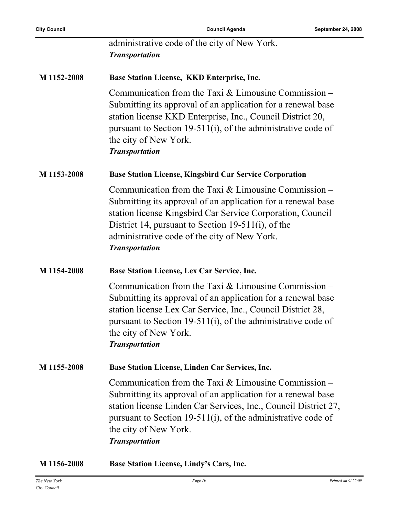|             | administrative code of the city of New York.<br><b>Transportation</b>                                                                                                                                                                                                                                               |
|-------------|---------------------------------------------------------------------------------------------------------------------------------------------------------------------------------------------------------------------------------------------------------------------------------------------------------------------|
| M 1152-2008 | Base Station License, KKD Enterprise, Inc.                                                                                                                                                                                                                                                                          |
|             | Communication from the Taxi $&$ Limousine Commission –<br>Submitting its approval of an application for a renewal base<br>station license KKD Enterprise, Inc., Council District 20,<br>pursuant to Section 19-511(i), of the administrative code of<br>the city of New York.<br><b>Transportation</b>              |
| M 1153-2008 | <b>Base Station License, Kingsbird Car Service Corporation</b>                                                                                                                                                                                                                                                      |
|             | Communication from the Taxi $&$ Limousine Commission –<br>Submitting its approval of an application for a renewal base<br>station license Kingsbird Car Service Corporation, Council<br>District 14, pursuant to Section 19-511(i), of the<br>administrative code of the city of New York.<br><b>Transportation</b> |
| M 1154-2008 | Base Station License, Lex Car Service, Inc.                                                                                                                                                                                                                                                                         |
|             | Communication from the Taxi $&$ Limousine Commission –<br>Submitting its approval of an application for a renewal base<br>station license Lex Car Service, Inc., Council District 28,<br>pursuant to Section 19-511(i), of the administrative code of<br>the city of New York.<br><b>Transportation</b>             |
| M 1155-2008 | Base Station License, Linden Car Services, Inc.                                                                                                                                                                                                                                                                     |
|             | Communication from the Taxi $&$ Limousine Commission –<br>Submitting its approval of an application for a renewal base<br>station license Linden Car Services, Inc., Council District 27,<br>pursuant to Section 19-511(i), of the administrative code of<br>the city of New York.<br><b>Transportation</b>         |
| M 1156-2008 | Base Station License, Lindy's Cars, Inc.                                                                                                                                                                                                                                                                            |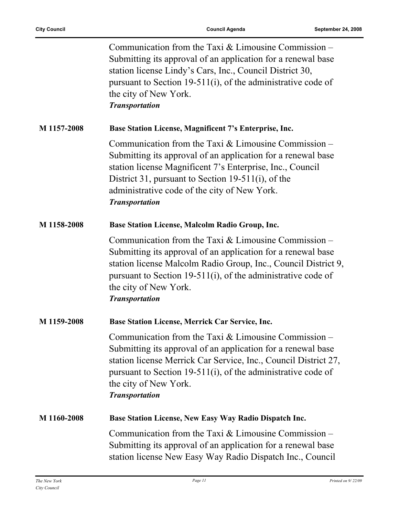|             | Communication from the Taxi $&$ Limousine Commission –<br>Submitting its approval of an application for a renewal base<br>station license Lindy's Cars, Inc., Council District 30,<br>pursuant to Section 19-511(i), of the administrative code of<br>the city of New York.<br><b>Transportation</b>               |
|-------------|--------------------------------------------------------------------------------------------------------------------------------------------------------------------------------------------------------------------------------------------------------------------------------------------------------------------|
| M 1157-2008 | Base Station License, Magnificent 7's Enterprise, Inc.                                                                                                                                                                                                                                                             |
|             | Communication from the Taxi $&$ Limousine Commission –<br>Submitting its approval of an application for a renewal base<br>station license Magnificent 7's Enterprise, Inc., Council<br>District 31, pursuant to Section 19-511(i), of the<br>administrative code of the city of New York.<br><b>Transportation</b> |
| M 1158-2008 | <b>Base Station License, Malcolm Radio Group, Inc.</b>                                                                                                                                                                                                                                                             |
|             | Communication from the Taxi $&$ Limousine Commission –<br>Submitting its approval of an application for a renewal base<br>station license Malcolm Radio Group, Inc., Council District 9,<br>pursuant to Section 19-511(i), of the administrative code of<br>the city of New York.<br><b>Transportation</b>         |
| M 1159-2008 | Base Station License, Merrick Car Service, Inc.                                                                                                                                                                                                                                                                    |
|             | Communication from the Taxi $&$ Limousine Commission –<br>Submitting its approval of an application for a renewal base<br>station license Merrick Car Service, Inc., Council District 27,<br>pursuant to Section 19-511(i), of the administrative code of<br>the city of New York.<br><b>Transportation</b>        |
| M 1160-2008 | Base Station License, New Easy Way Radio Dispatch Inc.                                                                                                                                                                                                                                                             |
|             | Communication from the Taxi $&$ Limousine Commission –<br>Submitting its approval of an application for a renewal base<br>station license New Easy Way Radio Dispatch Inc., Council                                                                                                                                |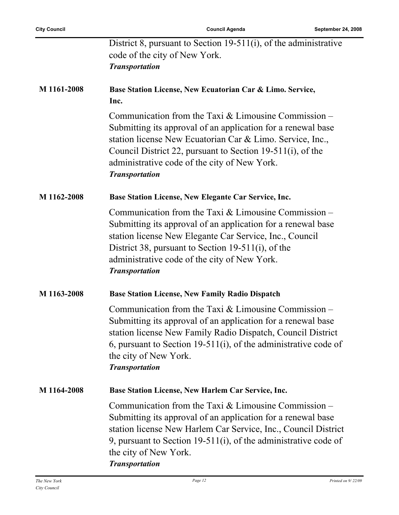|             | District 8, pursuant to Section 19-511(i), of the administrative<br>code of the city of New York.<br><b>Transportation</b>                                                                                                                                                                                                 |
|-------------|----------------------------------------------------------------------------------------------------------------------------------------------------------------------------------------------------------------------------------------------------------------------------------------------------------------------------|
| M 1161-2008 | Base Station License, New Ecuatorian Car & Limo. Service,<br>Inc.                                                                                                                                                                                                                                                          |
|             | Communication from the Taxi $&$ Limousine Commission –<br>Submitting its approval of an application for a renewal base<br>station license New Ecuatorian Car & Limo. Service, Inc.,<br>Council District 22, pursuant to Section 19-511(i), of the<br>administrative code of the city of New York.<br><b>Transportation</b> |
| M 1162-2008 | Base Station License, New Elegante Car Service, Inc.                                                                                                                                                                                                                                                                       |
|             | Communication from the Taxi $&$ Limousine Commission –<br>Submitting its approval of an application for a renewal base<br>station license New Elegante Car Service, Inc., Council<br>District 38, pursuant to Section 19-511(i), of the<br>administrative code of the city of New York.<br><b>Transportation</b>           |
| M 1163-2008 | <b>Base Station License, New Family Radio Dispatch</b>                                                                                                                                                                                                                                                                     |
|             | Communication from the Taxi $&$ Limousine Commission –<br>Submitting its approval of an application for a renewal base<br>station license New Family Radio Dispatch, Council District<br>6, pursuant to Section 19-511(i), of the administrative code of<br>the city of New York.<br><b>Transportation</b>                 |
| M 1164-2008 | Base Station License, New Harlem Car Service, Inc.                                                                                                                                                                                                                                                                         |
|             | Communication from the Taxi $&$ Limousine Commission –<br>Submitting its approval of an application for a renewal base<br>station license New Harlem Car Service, Inc., Council District<br>9, pursuant to Section 19-511(i), of the administrative code of<br>the city of New York.<br><b>Transportation</b>              |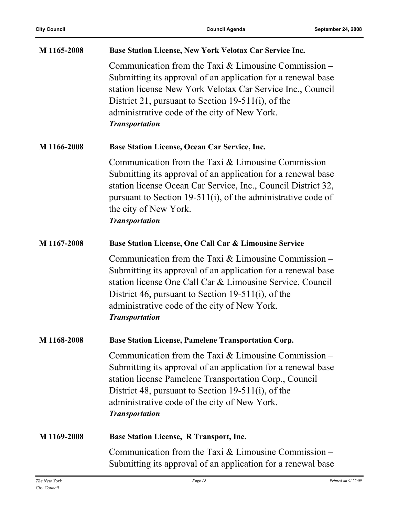| M 1165-2008 | Base Station License, New York Velotax Car Service Inc.                                                                                                                                                                                                                                                             |
|-------------|---------------------------------------------------------------------------------------------------------------------------------------------------------------------------------------------------------------------------------------------------------------------------------------------------------------------|
|             | Communication from the Taxi $&$ Limousine Commission –<br>Submitting its approval of an application for a renewal base<br>station license New York Velotax Car Service Inc., Council<br>District 21, pursuant to Section 19-511(i), of the<br>administrative code of the city of New York.<br><b>Transportation</b> |
| M 1166-2008 | <b>Base Station License, Ocean Car Service, Inc.</b>                                                                                                                                                                                                                                                                |
|             | Communication from the Taxi $&$ Limousine Commission –<br>Submitting its approval of an application for a renewal base<br>station license Ocean Car Service, Inc., Council District 32,<br>pursuant to Section 19-511(i), of the administrative code of<br>the city of New York.<br><b>Transportation</b>           |
| M 1167-2008 | Base Station License, One Call Car & Limousine Service                                                                                                                                                                                                                                                              |
|             | Communication from the Taxi & Limousine Commission -<br>Submitting its approval of an application for a renewal base<br>station license One Call Car & Limousine Service, Council<br>District 46, pursuant to Section 19-511(i), of the<br>administrative code of the city of New York.<br><b>Transportation</b>    |
| M 1168-2008 | <b>Base Station License, Pamelene Transportation Corp.</b>                                                                                                                                                                                                                                                          |
|             | Communication from the Taxi $&$ Limousine Commission –<br>Submitting its approval of an application for a renewal base<br>station license Pamelene Transportation Corp., Council<br>District 48, pursuant to Section 19-511(i), of the<br>administrative code of the city of New York.<br><b>Transportation</b>     |
| M 1169-2008 | <b>Base Station License, R Transport, Inc.</b>                                                                                                                                                                                                                                                                      |
|             | Communication from the Taxi $&$ Limousine Commission –<br>Submitting its approval of an application for a renewal base                                                                                                                                                                                              |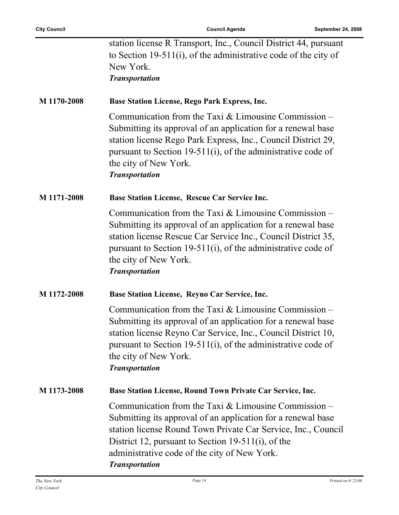| station license R Transport, Inc., Council District 44, pursuant |
|------------------------------------------------------------------|
| to Section 19-511(i), of the administrative code of the city of  |
| New York.                                                        |
| $\bm{T}$ a a a a a a a a dheabhan                                |

*Transportation*

#### **M 1170-2008 Base Station License, Rego Park Express, Inc.**

Communication from the Taxi & Limousine Commission – Submitting its approval of an application for a renewal base station license Rego Park Express, Inc., Council District 29, pursuant to Section 19-511(i), of the administrative code of the city of New York. *Transportation*

#### **M 1171-2008 Base Station License, Rescue Car Service Inc.**

Communication from the Taxi & Limousine Commission – Submitting its approval of an application for a renewal base station license Rescue Car Service Inc., Council District 35, pursuant to Section 19-511(i), of the administrative code of the city of New York. *Transportation*

#### **M 1172-2008 Base Station License, Reyno Car Service, Inc.**

Communication from the Taxi & Limousine Commission – Submitting its approval of an application for a renewal base station license Reyno Car Service, Inc., Council District 10, pursuant to Section 19-511(i), of the administrative code of the city of New York. *Transportation*

#### **M 1173-2008 Base Station License, Round Town Private Car Service, Inc.**

Communication from the Taxi & Limousine Commission – Submitting its approval of an application for a renewal base station license Round Town Private Car Service, Inc., Council District 12, pursuant to Section 19-511(i), of the administrative code of the city of New York. *Transportation*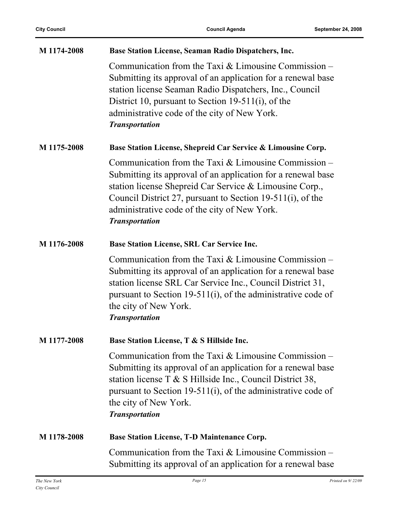| M 1174-2008 | Base Station License, Seaman Radio Dispatchers, Inc.                                                                                                                                                                                                                                                                     |
|-------------|--------------------------------------------------------------------------------------------------------------------------------------------------------------------------------------------------------------------------------------------------------------------------------------------------------------------------|
|             | Communication from the Taxi $&$ Limousine Commission –<br>Submitting its approval of an application for a renewal base<br>station license Seaman Radio Dispatchers, Inc., Council<br>District 10, pursuant to Section 19-511(i), of the<br>administrative code of the city of New York.<br><b>Transportation</b>         |
| M 1175-2008 | Base Station License, Shepreid Car Service & Limousine Corp.                                                                                                                                                                                                                                                             |
|             | Communication from the Taxi $&$ Limousine Commission –<br>Submitting its approval of an application for a renewal base<br>station license Shepreid Car Service & Limousine Corp.,<br>Council District 27, pursuant to Section 19-511(i), of the<br>administrative code of the city of New York.<br><b>Transportation</b> |
| M 1176-2008 | <b>Base Station License, SRL Car Service Inc.</b>                                                                                                                                                                                                                                                                        |
|             | Communication from the Taxi $&$ Limousine Commission –<br>Submitting its approval of an application for a renewal base<br>station license SRL Car Service Inc., Council District 31,<br>pursuant to Section 19-511(i), of the administrative code of<br>the city of New York.<br><b>Transportation</b>                   |
| M 1177-2008 | Base Station License, T & S Hillside Inc.                                                                                                                                                                                                                                                                                |
|             | Communication from the Taxi $&$ Limousine Commission –<br>Submitting its approval of an application for a renewal base<br>station license $T \& S$ Hillside Inc., Council District 38,<br>pursuant to Section 19-511(i), of the administrative code of<br>the city of New York.<br><b>Transportation</b>                 |
| M 1178-2008 | <b>Base Station License, T-D Maintenance Corp.</b>                                                                                                                                                                                                                                                                       |
|             | Communication from the Taxi $&$ Limousine Commission –<br>Submitting its approval of an application for a renewal base                                                                                                                                                                                                   |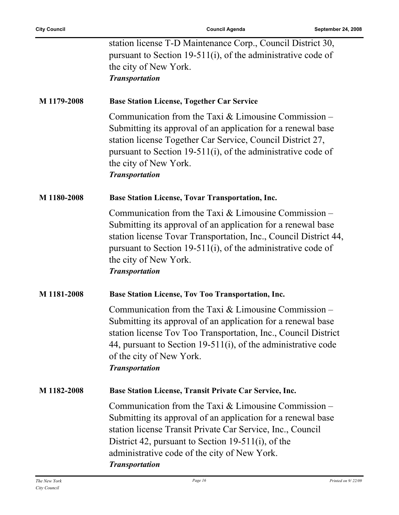| station license T-D Maintenance Corp., Council District 30,  |
|--------------------------------------------------------------|
| pursuant to Section 19-511(i), of the administrative code of |
| the city of New York.                                        |
| <b>Transportation</b>                                        |

#### **M 1179-2008 Base Station License, Together Car Service**

Communication from the Taxi & Limousine Commission – Submitting its approval of an application for a renewal base station license Together Car Service, Council District 27, pursuant to Section 19-511(i), of the administrative code of the city of New York. *Transportation*

#### **M 1180-2008 Base Station License, Tovar Transportation, Inc.**

Communication from the Taxi & Limousine Commission – Submitting its approval of an application for a renewal base station license Tovar Transportation, Inc., Council District 44, pursuant to Section 19-511(i), of the administrative code of the city of New York. *Transportation*

#### **M 1181-2008 Base Station License, Tov Too Transportation, Inc.**

Communication from the Taxi & Limousine Commission – Submitting its approval of an application for a renewal base station license Tov Too Transportation, Inc., Council District 44, pursuant to Section 19-511(i), of the administrative code of the city of New York. *Transportation*

#### **M 1182-2008 Base Station License, Transit Private Car Service, Inc.**

Communication from the Taxi & Limousine Commission – Submitting its approval of an application for a renewal base station license Transit Private Car Service, Inc., Council District 42, pursuant to Section 19-511(i), of the administrative code of the city of New York. *Transportation*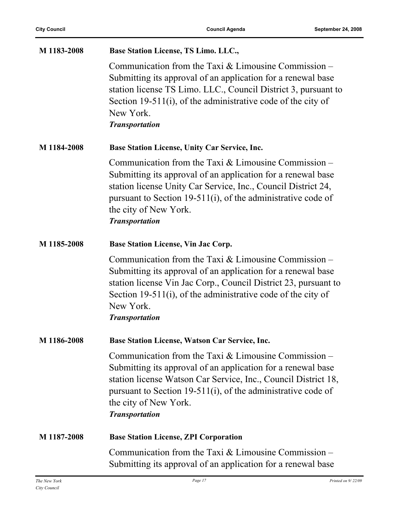| M 1183-2008 | Base Station License, TS Limo. LLC.,                                                                                                                                                                                                                                                                       |
|-------------|------------------------------------------------------------------------------------------------------------------------------------------------------------------------------------------------------------------------------------------------------------------------------------------------------------|
|             | Communication from the Taxi $&$ Limousine Commission –<br>Submitting its approval of an application for a renewal base<br>station license TS Limo. LLC., Council District 3, pursuant to<br>Section 19-511(i), of the administrative code of the city of<br>New York.<br><b>Transportation</b>             |
| M 1184-2008 | Base Station License, Unity Car Service, Inc.                                                                                                                                                                                                                                                              |
|             | Communication from the Taxi $&$ Limousine Commission –<br>Submitting its approval of an application for a renewal base<br>station license Unity Car Service, Inc., Council District 24,<br>pursuant to Section 19-511(i), of the administrative code of<br>the city of New York.<br><b>Transportation</b>  |
| M 1185-2008 | <b>Base Station License, Vin Jac Corp.</b>                                                                                                                                                                                                                                                                 |
|             | Communication from the Taxi $&$ Limousine Commission –<br>Submitting its approval of an application for a renewal base<br>station license Vin Jac Corp., Council District 23, pursuant to<br>Section 19-511(i), of the administrative code of the city of<br>New York.<br><b>Transportation</b>            |
| M 1186-2008 | Base Station License, Watson Car Service, Inc.                                                                                                                                                                                                                                                             |
|             | Communication from the Taxi $&$ Limousine Commission –<br>Submitting its approval of an application for a renewal base<br>station license Watson Car Service, Inc., Council District 18,<br>pursuant to Section 19-511(i), of the administrative code of<br>the city of New York.<br><b>Transportation</b> |
| M 1187-2008 | <b>Base Station License, ZPI Corporation</b>                                                                                                                                                                                                                                                               |
|             | Communication from the Taxi $&$ Limousine Commission –<br>Submitting its approval of an application for a renewal base                                                                                                                                                                                     |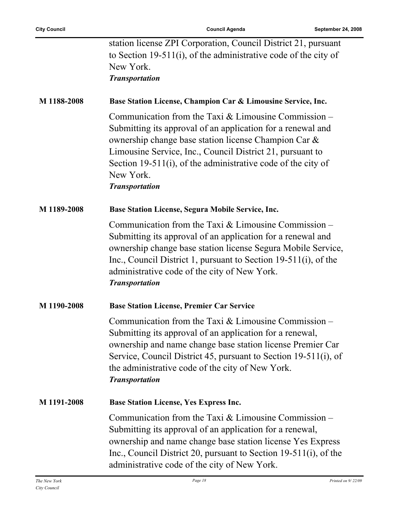| station license ZPI Corporation, Council District 21, pursuant  |
|-----------------------------------------------------------------|
| to Section 19-511(i), of the administrative code of the city of |
| New York.                                                       |
| $\mathbf{r}$ , $\mathbf{r}$                                     |

*Transportation*

### **M 1188-2008 Base Station License, Champion Car & Limousine Service, Inc.**

Communication from the Taxi & Limousine Commission – Submitting its approval of an application for a renewal and ownership change base station license Champion Car & Limousine Service, Inc., Council District 21, pursuant to Section 19-511(i), of the administrative code of the city of New York.

#### *Transportation*

#### **M 1189-2008 Base Station License, Segura Mobile Service, Inc.**

Communication from the Taxi  $\&$  Limousine Commission – Submitting its approval of an application for a renewal and ownership change base station license Segura Mobile Service, Inc., Council District 1, pursuant to Section 19-511(i), of the administrative code of the city of New York. *Transportation*

#### **M 1190-2008 Base Station License, Premier Car Service**

Communication from the Taxi & Limousine Commission – Submitting its approval of an application for a renewal, ownership and name change base station license Premier Car Service, Council District 45, pursuant to Section 19-511(i), of the administrative code of the city of New York. *Transportation*

### **M 1191-2008 Base Station License, Yes Express Inc.** Communication from the Taxi & Limousine Commission – Submitting its approval of an application for a renewal, ownership and name change base station license Yes Express Inc., Council District 20, pursuant to Section 19-511(i), of the administrative code of the city of New York.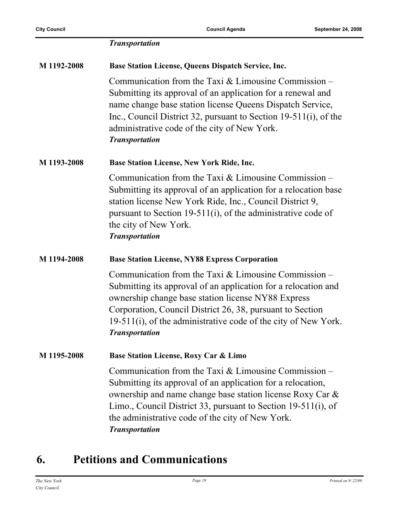|             | <b>Transportation</b>                                                                                                                                                                                                                                                                                                                  |
|-------------|----------------------------------------------------------------------------------------------------------------------------------------------------------------------------------------------------------------------------------------------------------------------------------------------------------------------------------------|
| M 1192-2008 | <b>Base Station License, Queens Dispatch Service, Inc.</b>                                                                                                                                                                                                                                                                             |
|             | Communication from the Taxi $&$ Limousine Commission –<br>Submitting its approval of an application for a renewal and<br>name change base station license Queens Dispatch Service,<br>Inc., Council District 32, pursuant to Section $19-511(i)$ , of the<br>administrative code of the city of New York.<br><b>Transportation</b>     |
| M 1193-2008 | Base Station License, New York Ride, Inc.                                                                                                                                                                                                                                                                                              |
|             | Communication from the Taxi $&$ Limousine Commission –<br>Submitting its approval of an application for a relocation base<br>station license New York Ride, Inc., Council District 9,<br>pursuant to Section 19-511(i), of the administrative code of<br>the city of New York.<br><b>Transportation</b>                                |
| M 1194-2008 | <b>Base Station License, NY88 Express Corporation</b>                                                                                                                                                                                                                                                                                  |
|             | Communication from the Taxi $&$ Limousine Commission –<br>Submitting its approval of an application for a relocation and<br>ownership change base station license NY88 Express<br>Corporation, Council District 26, 38, pursuant to Section<br>19-511(i), of the administrative code of the city of New York.<br><b>Transportation</b> |
| M 1195-2008 | <b>Base Station License, Roxy Car &amp; Limo</b>                                                                                                                                                                                                                                                                                       |
|             | Communication from the Taxi $&$ Limousine Commission –<br>Submitting its approval of an application for a relocation,<br>ownership and name change base station license Roxy Car &<br>Limo., Council District 33, pursuant to Section 19-511(i), of<br>the administrative code of the city of New York.<br><b>Transportation</b>       |

## **6. Petitions and Communications**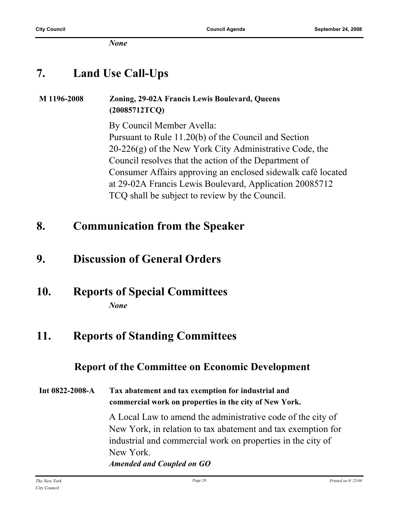*None*

### **7. Land Use Call-Ups**

## **M 1196-2008 Zoning, 29-02A Francis Lewis Boulevard, Queens (20085712TCQ)**

By Council Member Avella: Pursuant to Rule 11.20(b) of the Council and Section  $20-226(g)$  of the New York City Administrative Code, the Council resolves that the action of the Department of Consumer Affairs approving an enclosed sidewalk café located at 29-02A Francis Lewis Boulevard, Application 20085712 TCQ shall be subject to review by the Council.

### **8. Communication from the Speaker**

### **9. Discussion of General Orders**

### **10. Reports of Special Committees** *None*

### **11. Reports of Standing Committees**

### **Report of the Committee on Economic Development**

**Int 0822-2008-A Tax abatement and tax exemption for industrial and commercial work on properties in the city of New York.**

> A Local Law to amend the administrative code of the city of New York, in relation to tax abatement and tax exemption for industrial and commercial work on properties in the city of New York.

*Amended and Coupled on GO*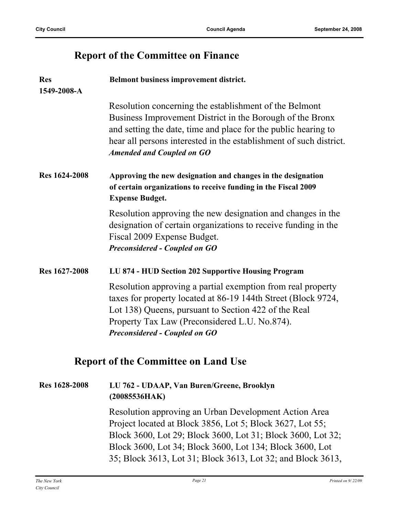### **Report of the Committee on Finance**

| <b>Res</b><br>1549-2008-A | Belmont business improvement district.                                                                                                                                                                                                                                                          |
|---------------------------|-------------------------------------------------------------------------------------------------------------------------------------------------------------------------------------------------------------------------------------------------------------------------------------------------|
|                           | Resolution concerning the establishment of the Belmont<br>Business Improvement District in the Borough of the Bronx<br>and setting the date, time and place for the public hearing to<br>hear all persons interested in the establishment of such district.<br><b>Amended and Coupled on GO</b> |
| Res 1624-2008             | Approving the new designation and changes in the designation<br>of certain organizations to receive funding in the Fiscal 2009<br><b>Expense Budget.</b>                                                                                                                                        |
|                           | Resolution approving the new designation and changes in the<br>designation of certain organizations to receive funding in the<br>Fiscal 2009 Expense Budget.<br><b>Preconsidered - Coupled on GO</b>                                                                                            |
| Res 1627-2008             | LU 874 - HUD Section 202 Supportive Housing Program                                                                                                                                                                                                                                             |
|                           | Resolution approving a partial exemption from real property<br>taxes for property located at 86-19 144th Street (Block 9724,<br>Lot 138) Queens, pursuant to Section 422 of the Real<br>Property Tax Law (Preconsidered L.U. No.874).<br><b>Preconsidered - Coupled on GO</b>                   |
|                           | <b>Report of the Committee on Land Use</b>                                                                                                                                                                                                                                                      |
| Res 1628-2008             | LU 762 - UDAAP, Van Buren/Greene, Brooklyn<br>(20085536HAK)                                                                                                                                                                                                                                     |
|                           | Resolution approving an Urban Development Action Area<br>Project located at Block 3856, Lot 5; Block 3627, Lot 55;<br>Block 3600, Lot 29; Block 3600, Lot 31; Block 3600, Lot 32;<br>Block 3600, Lot 34; Block 3600, Lot 134; Block 3600, Lot                                                   |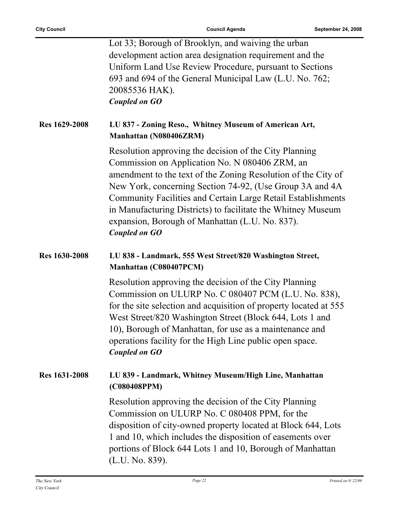|                      | Lot 33; Borough of Brooklyn, and waiving the urban<br>development action area designation requirement and the<br>Uniform Land Use Review Procedure, pursuant to Sections<br>693 and 694 of the General Municipal Law (L.U. No. 762;<br>20085536 HAK).<br><b>Coupled on GO</b>                                                                                                                                                                           |
|----------------------|---------------------------------------------------------------------------------------------------------------------------------------------------------------------------------------------------------------------------------------------------------------------------------------------------------------------------------------------------------------------------------------------------------------------------------------------------------|
| <b>Res</b> 1629-2008 | LU 837 - Zoning Reso., Whitney Museum of American Art,<br>Manhattan (N080406ZRM)                                                                                                                                                                                                                                                                                                                                                                        |
|                      | Resolution approving the decision of the City Planning<br>Commission on Application No. N 080406 ZRM, an<br>amendment to the text of the Zoning Resolution of the City of<br>New York, concerning Section 74-92, (Use Group 3A and 4A<br><b>Community Facilities and Certain Large Retail Establishments</b><br>in Manufacturing Districts) to facilitate the Whitney Museum<br>expansion, Borough of Manhattan (L.U. No. 837).<br><b>Coupled on GO</b> |
| Res 1630-2008        | LU 838 - Landmark, 555 West Street/820 Washington Street,<br>Manhattan (C080407PCM)                                                                                                                                                                                                                                                                                                                                                                     |
|                      | Resolution approving the decision of the City Planning<br>Commission on ULURP No. C 080407 PCM (L.U. No. 838),<br>for the site selection and acquisition of property located at 555<br>West Street/820 Washington Street (Block 644, Lots 1 and<br>10), Borough of Manhattan, for use as a maintenance and<br>operations facility for the High Line public open space.<br><b>Coupled on GO</b>                                                          |
| <b>Res 1631-2008</b> | LU 839 - Landmark, Whitney Museum/High Line, Manhattan<br>(C080408PPM)                                                                                                                                                                                                                                                                                                                                                                                  |
|                      | Resolution approving the decision of the City Planning<br>Commission on ULURP No. C 080408 PPM, for the<br>disposition of city-owned property located at Block 644, Lots<br>1 and 10, which includes the disposition of easements over<br>portions of Block 644 Lots 1 and 10, Borough of Manhattan<br>(L.U. No. 839).                                                                                                                                  |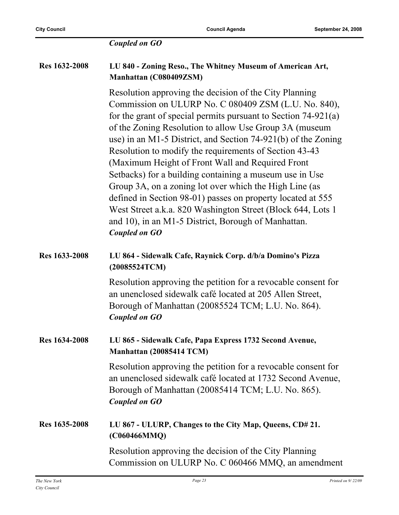#### *Coupled on GO*

#### **Res 1632-2008 LU 840 - Zoning Reso., The Whitney Museum of American Art, Manhattan (C080409ZSM)**

Resolution approving the decision of the City Planning Commission on ULURP No. C 080409 ZSM (L.U. No. 840), for the grant of special permits pursuant to Section 74-921(a) of the Zoning Resolution to allow Use Group 3A (museum use) in an M1-5 District, and Section 74-921(b) of the Zoning Resolution to modify the requirements of Section 43-43 (Maximum Height of Front Wall and Required Front Setbacks) for a building containing a museum use in Use Group 3A, on a zoning lot over which the High Line (as defined in Section 98-01) passes on property located at 555 West Street a.k.a. 820 Washington Street (Block 644, Lots 1 and 10), in an M1-5 District, Borough of Manhattan. *Coupled on GO*

#### **Res 1633-2008 LU 864 - Sidewalk Cafe, Raynick Corp. d/b/a Domino's Pizza (20085524TCM)**

Resolution approving the petition for a revocable consent for an unenclosed sidewalk café located at 205 Allen Street, Borough of Manhattan (20085524 TCM; L.U. No. 864). *Coupled on GO*

#### **Res 1634-2008 LU 865 - Sidewalk Cafe, Papa Express 1732 Second Avenue, Manhattan (20085414 TCM)**

Resolution approving the petition for a revocable consent for an unenclosed sidewalk café located at 1732 Second Avenue, Borough of Manhattan (20085414 TCM; L.U. No. 865). *Coupled on GO*

#### **Res 1635-2008 LU 867 - ULURP, Changes to the City Map, Queens, CD# 21. (C060466MMQ)**

Resolution approving the decision of the City Planning Commission on ULURP No. C 060466 MMQ, an amendment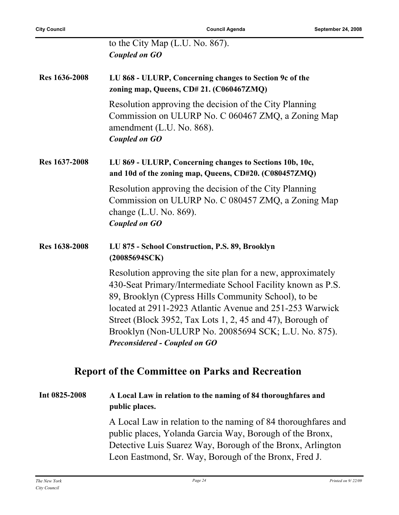|               | to the City Map (L.U. No. 867).                                                                                                                                                                                                                                                                                                                                                                             |
|---------------|-------------------------------------------------------------------------------------------------------------------------------------------------------------------------------------------------------------------------------------------------------------------------------------------------------------------------------------------------------------------------------------------------------------|
|               | Coupled on GO                                                                                                                                                                                                                                                                                                                                                                                               |
| Res 1636-2008 | LU 868 - ULURP, Concerning changes to Section 9c of the<br>zoning map, Queens, CD# 21. (C060467ZMQ)                                                                                                                                                                                                                                                                                                         |
|               | Resolution approving the decision of the City Planning<br>Commission on ULURP No. C 060467 ZMQ, a Zoning Map<br>amendment (L.U. No. 868).<br><b>Coupled on GO</b>                                                                                                                                                                                                                                           |
| Res 1637-2008 | LU 869 - ULURP, Concerning changes to Sections 10b, 10c,<br>and 10d of the zoning map, Queens, CD#20. (C080457ZMQ)                                                                                                                                                                                                                                                                                          |
|               | Resolution approving the decision of the City Planning<br>Commission on ULURP No. C 080457 ZMQ, a Zoning Map<br>change $(L.U. No. 869)$ .<br>Coupled on GO                                                                                                                                                                                                                                                  |
| Res 1638-2008 | LU 875 - School Construction, P.S. 89, Brooklyn<br>(20085694SCK)                                                                                                                                                                                                                                                                                                                                            |
|               | Resolution approving the site plan for a new, approximately<br>430-Seat Primary/Intermediate School Facility known as P.S.<br>89, Brooklyn (Cypress Hills Community School), to be<br>located at 2911-2923 Atlantic Avenue and 251-253 Warwick<br>Street (Block 3952, Tax Lots 1, 2, 45 and 47), Borough of<br>Brooklyn (Non-ULURP No. 20085694 SCK; L.U. No. 875).<br><b>Preconsidered - Coupled on GO</b> |
|               | <b>Report of the Committee on Parks and Recreation</b>                                                                                                                                                                                                                                                                                                                                                      |

### **Int 0825-2008 A Local Law in relation to the naming of 84 thoroughfares and public places.**

A Local Law in relation to the naming of 84 thoroughfares and public places, Yolanda Garcia Way, Borough of the Bronx, Detective Luis Suarez Way, Borough of the Bronx, Arlington Leon Eastmond, Sr. Way, Borough of the Bronx, Fred J.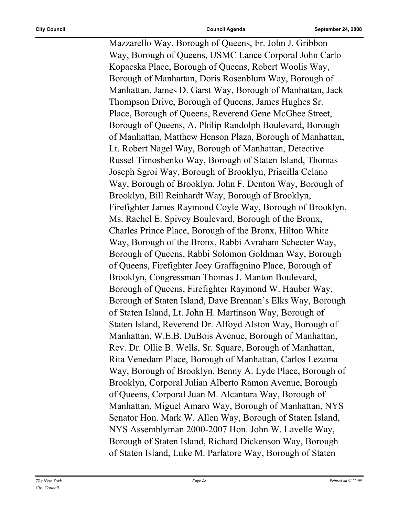Mazzarello Way, Borough of Queens, Fr. John J. Gribbon Way, Borough of Queens, USMC Lance Corporal John Carlo Kopacska Place, Borough of Queens, Robert Woolis Way, Borough of Manhattan, Doris Rosenblum Way, Borough of Manhattan, James D. Garst Way, Borough of Manhattan, Jack Thompson Drive, Borough of Queens, James Hughes Sr. Place, Borough of Queens, Reverend Gene McGhee Street, Borough of Queens, A. Philip Randolph Boulevard, Borough of Manhattan, Matthew Henson Plaza, Borough of Manhattan, Lt. Robert Nagel Way, Borough of Manhattan, Detective Russel Timoshenko Way, Borough of Staten Island, Thomas Joseph Sgroi Way, Borough of Brooklyn, Priscilla Celano Way, Borough of Brooklyn, John F. Denton Way, Borough of Brooklyn, Bill Reinhardt Way, Borough of Brooklyn, Firefighter James Raymond Coyle Way, Borough of Brooklyn, Ms. Rachel E. Spivey Boulevard, Borough of the Bronx, Charles Prince Place, Borough of the Bronx, Hilton White Way, Borough of the Bronx, Rabbi Avraham Schecter Way, Borough of Queens, Rabbi Solomon Goldman Way, Borough of Queens, Firefighter Joey Graffagnino Place, Borough of Brooklyn, Congressman Thomas J. Manton Boulevard, Borough of Queens, Firefighter Raymond W. Hauber Way, Borough of Staten Island, Dave Brennan's Elks Way, Borough of Staten Island, Lt. John H. Martinson Way, Borough of Staten Island, Reverend Dr. Alfoyd Alston Way, Borough of Manhattan, W.E.B. DuBois Avenue, Borough of Manhattan, Rev. Dr. Ollie B. Wells, Sr. Square, Borough of Manhattan, Rita Venedam Place, Borough of Manhattan, Carlos Lezama Way, Borough of Brooklyn, Benny A. Lyde Place, Borough of Brooklyn, Corporal Julian Alberto Ramon Avenue, Borough of Queens, Corporal Juan M. Alcantara Way, Borough of Manhattan, Miguel Amaro Way, Borough of Manhattan, NYS Senator Hon. Mark W. Allen Way, Borough of Staten Island, NYS Assemblyman 2000-2007 Hon. John W. Lavelle Way, Borough of Staten Island, Richard Dickenson Way, Borough of Staten Island, Luke M. Parlatore Way, Borough of Staten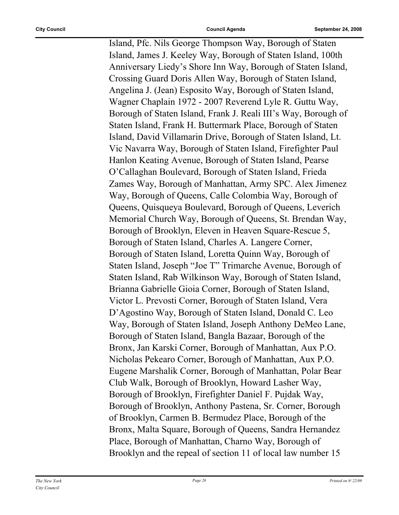Island, Pfc. Nils George Thompson Way, Borough of Staten Island, James J. Keeley Way, Borough of Staten Island, 100th Anniversary Liedy's Shore Inn Way, Borough of Staten Island, Crossing Guard Doris Allen Way, Borough of Staten Island, Angelina J. (Jean) Esposito Way, Borough of Staten Island, Wagner Chaplain 1972 - 2007 Reverend Lyle R. Guttu Way, Borough of Staten Island, Frank J. Reali III's Way, Borough of Staten Island, Frank H. Buttermark Place, Borough of Staten Island, David Villamarin Drive, Borough of Staten Island, Lt. Vic Navarra Way, Borough of Staten Island, Firefighter Paul Hanlon Keating Avenue, Borough of Staten Island, Pearse O'Callaghan Boulevard, Borough of Staten Island, Frieda Zames Way, Borough of Manhattan, Army SPC. Alex Jimenez Way, Borough of Queens, Calle Colombia Way, Borough of Queens, Quisqueya Boulevard, Borough of Queens, Leverich Memorial Church Way, Borough of Queens, St. Brendan Way, Borough of Brooklyn, Eleven in Heaven Square-Rescue 5, Borough of Staten Island, Charles A. Langere Corner, Borough of Staten Island, Loretta Quinn Way, Borough of Staten Island, Joseph "Joe T" Trimarche Avenue, Borough of Staten Island, Rab Wilkinson Way, Borough of Staten Island, Brianna Gabrielle Gioia Corner, Borough of Staten Island, Victor L. Prevosti Corner, Borough of Staten Island, Vera D'Agostino Way, Borough of Staten Island, Donald C. Leo Way, Borough of Staten Island, Joseph Anthony DeMeo Lane, Borough of Staten Island, Bangla Bazaar, Borough of the Bronx, Jan Karski Corner, Borough of Manhattan, Aux P.O. Nicholas Pekearo Corner, Borough of Manhattan, Aux P.O. Eugene Marshalik Corner, Borough of Manhattan, Polar Bear Club Walk, Borough of Brooklyn, Howard Lasher Way, Borough of Brooklyn, Firefighter Daniel F. Pujdak Way, Borough of Brooklyn, Anthony Pastena, Sr. Corner, Borough of Brooklyn, Carmen B. Bermudez Place, Borough of the Bronx, Malta Square, Borough of Queens, Sandra Hernandez Place, Borough of Manhattan, Charno Way, Borough of Brooklyn and the repeal of section 11 of local law number 15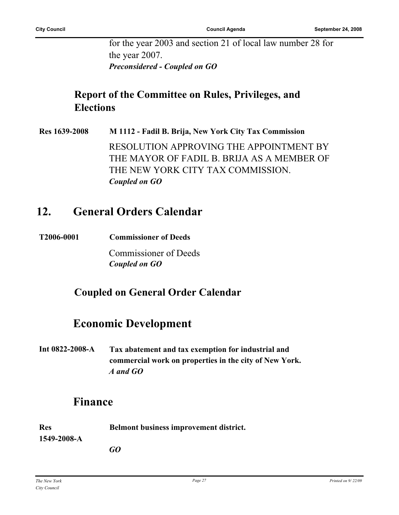for the year 2003 and section 21 of local law number 28 for the year 2007. *Preconsidered - Coupled on GO*

### **Report of the Committee on Rules, Privileges, and Elections**

**Res 1639-2008 M 1112 - Fadil B. Brija, New York City Tax Commission** RESOLUTION APPROVING THE APPOINTMENT BY THE MAYOR OF FADIL B. BRIJA AS A MEMBER OF THE NEW YORK CITY TAX COMMISSION. *Coupled on GO*

### **12. General Orders Calendar**

**T2006-0001 Commissioner of Deeds**

Commissioner of Deeds *Coupled on GO*

### **Coupled on General Order Calendar**

### **Economic Development**

**Int 0822-2008-A Tax abatement and tax exemption for industrial and commercial work on properties in the city of New York.** *A and GO*

### **Finance**

| Res         | <b>Belmont business improvement district.</b> |
|-------------|-----------------------------------------------|
| 1549-2008-A |                                               |
|             | GO                                            |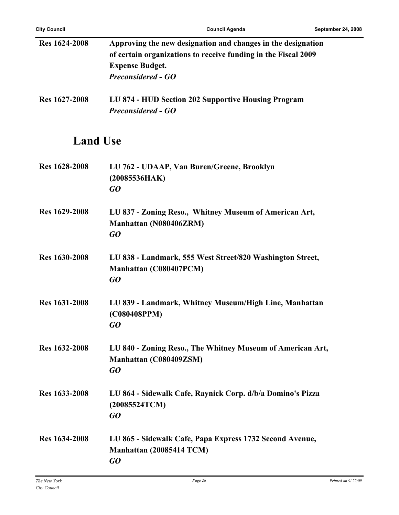| <b>Res</b> 1624-2008 | Approving the new designation and changes in the designation<br>of certain organizations to receive funding in the Fiscal 2009<br><b>Expense Budget.</b><br><b>Preconsidered - GO</b> |
|----------------------|---------------------------------------------------------------------------------------------------------------------------------------------------------------------------------------|
| Res 1627-2008        | LU 874 - HUD Section 202 Supportive Housing Program<br><b>Preconsidered - GO</b>                                                                                                      |
| <b>Land Use</b>      |                                                                                                                                                                                       |
| Res 1628-2008        | LU 762 - UDAAP, Van Buren/Greene, Brooklyn<br>(20085536HAK)<br>GQ                                                                                                                     |
| <b>Res 1629-2008</b> | LU 837 - Zoning Reso., Whitney Museum of American Art,<br>Manhattan (N080406ZRM)<br>GO                                                                                                |
| <b>Res</b> 1630-2008 | LU 838 - Landmark, 555 West Street/820 Washington Street,<br>Manhattan (C080407PCM)<br>GO                                                                                             |
| <b>Res 1631-2008</b> | LU 839 - Landmark, Whitney Museum/High Line, Manhattan<br>(C080408PPM)<br>GO                                                                                                          |
| Res 1632-2008        | LU 840 - Zoning Reso., The Whitney Museum of American Art,<br>Manhattan (C080409ZSM)<br>GO                                                                                            |
| Res 1633-2008        | LU 864 - Sidewalk Cafe, Raynick Corp. d/b/a Domino's Pizza<br>(20085524TCM)<br>GQ                                                                                                     |
| <b>Res</b> 1634-2008 | LU 865 - Sidewalk Cafe, Papa Express 1732 Second Avenue,<br>Manhattan (20085414 TCM)<br>GO                                                                                            |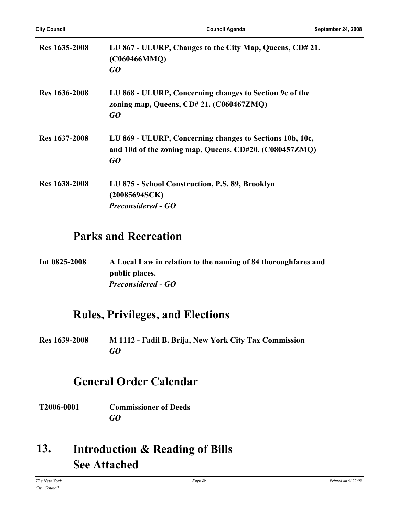| Res 1635-2008 | LU 867 - ULURP, Changes to the City Map, Queens, CD# 21.<br>(C060466MMQ)<br>GO                                           |
|---------------|--------------------------------------------------------------------------------------------------------------------------|
| Res 1636-2008 | LU 868 - ULURP, Concerning changes to Section 9c of the<br>zoning map, Queens, CD# 21. (C060467ZMQ)<br>GO                |
| Res 1637-2008 | LU 869 - ULURP, Concerning changes to Sections 10b, 10c,<br>and 10d of the zoning map, Queens, CD#20. (C080457ZMQ)<br>GO |
| Res 1638-2008 | LU 875 - School Construction, P.S. 89, Brooklyn<br>(20085694SCK)<br><b>Preconsidered - GO</b>                            |

### **Parks and Recreation**

**Int 0825-2008 A Local Law in relation to the naming of 84 thoroughfares and public places.** *Preconsidered - GO*

### **Rules, Privileges, and Elections**

**Res 1639-2008 M 1112 - Fadil B. Brija, New York City Tax Commission** *GO*

### **General Order Calendar**

**T2006-0001 Commissioner of Deeds** *GO*

#### **Introduction & Reading of Bills See Attached 13.**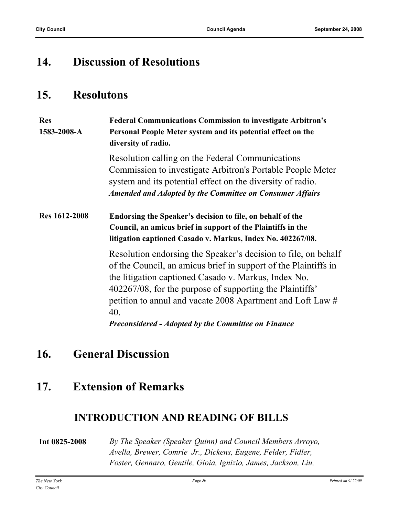### **14. Discussion of Resolutions**

### **15. Resolutons**

| <b>Res</b><br>1583-2008-A | <b>Federal Communications Commission to investigate Arbitron's</b><br>Personal People Meter system and its potential effect on the<br>diversity of radio.                                                                                                                                                           |
|---------------------------|---------------------------------------------------------------------------------------------------------------------------------------------------------------------------------------------------------------------------------------------------------------------------------------------------------------------|
|                           | Resolution calling on the Federal Communications<br>Commission to investigate Arbitron's Portable People Meter<br>system and its potential effect on the diversity of radio.<br><b>Amended and Adopted by the Committee on Consumer Affairs</b>                                                                     |
| <b>Res</b> 1612-2008      | Endorsing the Speaker's decision to file, on behalf of the<br>Council, an amicus brief in support of the Plaintiffs in the<br>litigation captioned Casado v. Markus, Index No. 402267/08.                                                                                                                           |
|                           | Resolution endorsing the Speaker's decision to file, on behalf<br>of the Council, an amicus brief in support of the Plaintiffs in<br>the litigation captioned Casado v. Markus, Index No.<br>402267/08, for the purpose of supporting the Plaintiffs'<br>petition to annul and vacate 2008 Apartment and Loft Law # |

*Preconsidered - Adopted by the Committee on Finance*

### **16. General Discussion**

### **17. Extension of Remarks**

40.

### **INTRODUCTION AND READING OF BILLS**

#### **Int 0825-2008** *By The Speaker (Speaker Quinn) and Council Members Arroyo, Avella, Brewer, Comrie Jr., Dickens, Eugene, Felder, Fidler, Foster, Gennaro, Gentile, Gioia, Ignizio, James, Jackson, Liu,*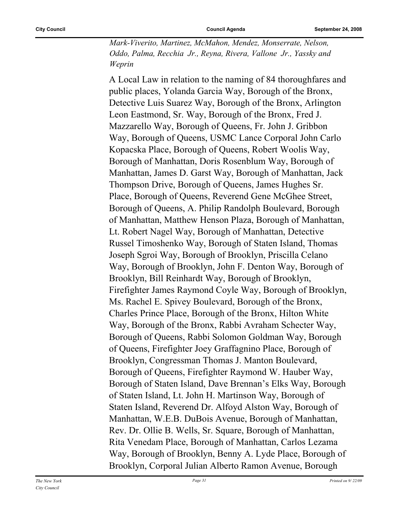*Mark-Viverito, Martinez, McMahon, Mendez, Monserrate, Nelson, Oddo, Palma, Recchia Jr., Reyna, Rivera, Vallone Jr., Yassky and Weprin*

A Local Law in relation to the naming of 84 thoroughfares and public places, Yolanda Garcia Way, Borough of the Bronx, Detective Luis Suarez Way, Borough of the Bronx, Arlington Leon Eastmond, Sr. Way, Borough of the Bronx, Fred J. Mazzarello Way, Borough of Queens, Fr. John J. Gribbon Way, Borough of Queens, USMC Lance Corporal John Carlo Kopacska Place, Borough of Queens, Robert Woolis Way, Borough of Manhattan, Doris Rosenblum Way, Borough of Manhattan, James D. Garst Way, Borough of Manhattan, Jack Thompson Drive, Borough of Queens, James Hughes Sr. Place, Borough of Queens, Reverend Gene McGhee Street, Borough of Queens, A. Philip Randolph Boulevard, Borough of Manhattan, Matthew Henson Plaza, Borough of Manhattan, Lt. Robert Nagel Way, Borough of Manhattan, Detective Russel Timoshenko Way, Borough of Staten Island, Thomas Joseph Sgroi Way, Borough of Brooklyn, Priscilla Celano Way, Borough of Brooklyn, John F. Denton Way, Borough of Brooklyn, Bill Reinhardt Way, Borough of Brooklyn, Firefighter James Raymond Coyle Way, Borough of Brooklyn, Ms. Rachel E. Spivey Boulevard, Borough of the Bronx, Charles Prince Place, Borough of the Bronx, Hilton White Way, Borough of the Bronx, Rabbi Avraham Schecter Way, Borough of Queens, Rabbi Solomon Goldman Way, Borough of Queens, Firefighter Joey Graffagnino Place, Borough of Brooklyn, Congressman Thomas J. Manton Boulevard, Borough of Queens, Firefighter Raymond W. Hauber Way, Borough of Staten Island, Dave Brennan's Elks Way, Borough of Staten Island, Lt. John H. Martinson Way, Borough of Staten Island, Reverend Dr. Alfoyd Alston Way, Borough of Manhattan, W.E.B. DuBois Avenue, Borough of Manhattan, Rev. Dr. Ollie B. Wells, Sr. Square, Borough of Manhattan, Rita Venedam Place, Borough of Manhattan, Carlos Lezama Way, Borough of Brooklyn, Benny A. Lyde Place, Borough of Brooklyn, Corporal Julian Alberto Ramon Avenue, Borough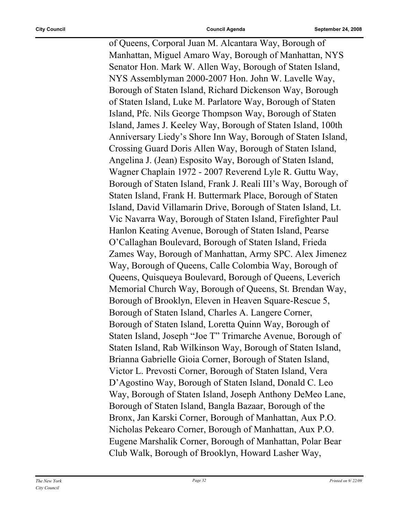of Queens, Corporal Juan M. Alcantara Way, Borough of Manhattan, Miguel Amaro Way, Borough of Manhattan, NYS Senator Hon. Mark W. Allen Way, Borough of Staten Island, NYS Assemblyman 2000-2007 Hon. John W. Lavelle Way, Borough of Staten Island, Richard Dickenson Way, Borough of Staten Island, Luke M. Parlatore Way, Borough of Staten Island, Pfc. Nils George Thompson Way, Borough of Staten Island, James J. Keeley Way, Borough of Staten Island, 100th Anniversary Liedy's Shore Inn Way, Borough of Staten Island, Crossing Guard Doris Allen Way, Borough of Staten Island, Angelina J. (Jean) Esposito Way, Borough of Staten Island, Wagner Chaplain 1972 - 2007 Reverend Lyle R. Guttu Way, Borough of Staten Island, Frank J. Reali III's Way, Borough of Staten Island, Frank H. Buttermark Place, Borough of Staten Island, David Villamarin Drive, Borough of Staten Island, Lt. Vic Navarra Way, Borough of Staten Island, Firefighter Paul Hanlon Keating Avenue, Borough of Staten Island, Pearse O'Callaghan Boulevard, Borough of Staten Island, Frieda Zames Way, Borough of Manhattan, Army SPC. Alex Jimenez Way, Borough of Queens, Calle Colombia Way, Borough of Queens, Quisqueya Boulevard, Borough of Queens, Leverich Memorial Church Way, Borough of Queens, St. Brendan Way, Borough of Brooklyn, Eleven in Heaven Square-Rescue 5, Borough of Staten Island, Charles A. Langere Corner, Borough of Staten Island, Loretta Quinn Way, Borough of Staten Island, Joseph "Joe T" Trimarche Avenue, Borough of Staten Island, Rab Wilkinson Way, Borough of Staten Island, Brianna Gabrielle Gioia Corner, Borough of Staten Island, Victor L. Prevosti Corner, Borough of Staten Island, Vera D'Agostino Way, Borough of Staten Island, Donald C. Leo Way, Borough of Staten Island, Joseph Anthony DeMeo Lane, Borough of Staten Island, Bangla Bazaar, Borough of the Bronx, Jan Karski Corner, Borough of Manhattan, Aux P.O. Nicholas Pekearo Corner, Borough of Manhattan, Aux P.O. Eugene Marshalik Corner, Borough of Manhattan, Polar Bear Club Walk, Borough of Brooklyn, Howard Lasher Way,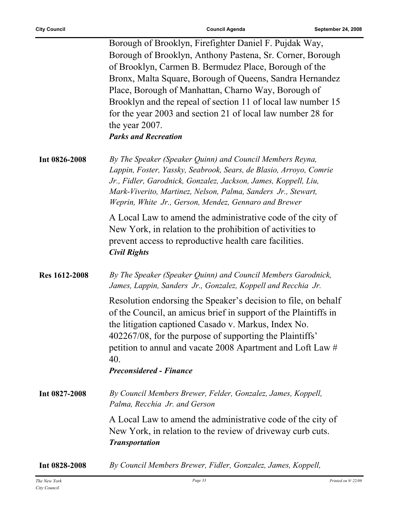ř.

|                      | Borough of Brooklyn, Firefighter Daniel F. Pujdak Way,<br>Borough of Brooklyn, Anthony Pastena, Sr. Corner, Borough<br>of Brooklyn, Carmen B. Bermudez Place, Borough of the<br>Bronx, Malta Square, Borough of Queens, Sandra Hernandez<br>Place, Borough of Manhattan, Charno Way, Borough of<br>Brooklyn and the repeal of section 11 of local law number 15<br>for the year 2003 and section 21 of local law number 28 for<br>the year 2007.<br><b>Parks and Recreation</b> |
|----------------------|---------------------------------------------------------------------------------------------------------------------------------------------------------------------------------------------------------------------------------------------------------------------------------------------------------------------------------------------------------------------------------------------------------------------------------------------------------------------------------|
| Int 0826-2008        | By The Speaker (Speaker Quinn) and Council Members Reyna,<br>Lappin, Foster, Yassky, Seabrook, Sears, de Blasio, Arroyo, Comrie<br>Jr., Fidler, Garodnick, Gonzalez, Jackson, James, Koppell, Liu,<br>Mark-Viverito, Martinez, Nelson, Palma, Sanders Jr., Stewart,<br>Weprin, White Jr., Gerson, Mendez, Gennaro and Brewer                                                                                                                                                    |
|                      | A Local Law to amend the administrative code of the city of<br>New York, in relation to the prohibition of activities to<br>prevent access to reproductive health care facilities.<br><b>Civil Rights</b>                                                                                                                                                                                                                                                                       |
| <b>Res 1612-2008</b> | By The Speaker (Speaker Quinn) and Council Members Garodnick,<br>James, Lappin, Sanders Jr., Gonzalez, Koppell and Recchia Jr.                                                                                                                                                                                                                                                                                                                                                  |
|                      | Resolution endorsing the Speaker's decision to file, on behalf<br>of the Council, an amicus brief in support of the Plaintiffs in<br>the litigation captioned Casado v. Markus, Index No.<br>402267/08, for the purpose of supporting the Plaintiffs'<br>petition to annul and vacate 2008 Apartment and Loft Law #<br>40.<br><b>Preconsidered - Finance</b>                                                                                                                    |
| Int 0827-2008        | By Council Members Brewer, Felder, Gonzalez, James, Koppell,<br>Palma, Recchia Jr. and Gerson                                                                                                                                                                                                                                                                                                                                                                                   |
|                      | A Local Law to amend the administrative code of the city of<br>New York, in relation to the review of driveway curb cuts.<br><b>Transportation</b>                                                                                                                                                                                                                                                                                                                              |
| Int 0828-2008        | By Council Members Brewer, Fidler, Gonzalez, James, Koppell,                                                                                                                                                                                                                                                                                                                                                                                                                    |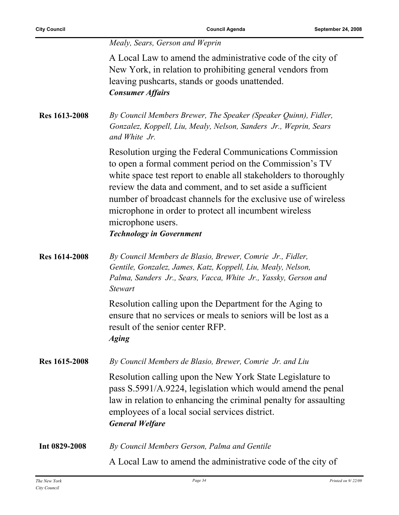*Mealy, Sears, Gerson and Weprin*

A Local Law to amend the administrative code of the city of New York, in relation to prohibiting general vendors from leaving pushcarts, stands or goods unattended. *Consumer Affairs*

**Res 1613-2008** *By Council Members Brewer, The Speaker (Speaker Quinn), Fidler, Gonzalez, Koppell, Liu, Mealy, Nelson, Sanders Jr., Weprin, Sears and White Jr.*

> Resolution urging the Federal Communications Commission to open a formal comment period on the Commission's TV white space test report to enable all stakeholders to thoroughly review the data and comment, and to set aside a sufficient number of broadcast channels for the exclusive use of wireless microphone in order to protect all incumbent wireless microphone users.

*Technology in Government*

**Res 1614-2008** *By Council Members de Blasio, Brewer, Comrie Jr., Fidler, Gentile, Gonzalez, James, Katz, Koppell, Liu, Mealy, Nelson, Palma, Sanders Jr., Sears, Vacca, White Jr., Yassky, Gerson and Stewart*

> Resolution calling upon the Department for the Aging to ensure that no services or meals to seniors will be lost as a result of the senior center RFP. *Aging*

**Res 1615-2008** *By Council Members de Blasio, Brewer, Comrie Jr. and Liu* Resolution calling upon the New York State Legislature to pass S.5991/A.9224, legislation which would amend the penal law in relation to enhancing the criminal penalty for assaulting employees of a local social services district.

*General Welfare*

**Int 0829-2008** *By Council Members Gerson, Palma and Gentile* A Local Law to amend the administrative code of the city of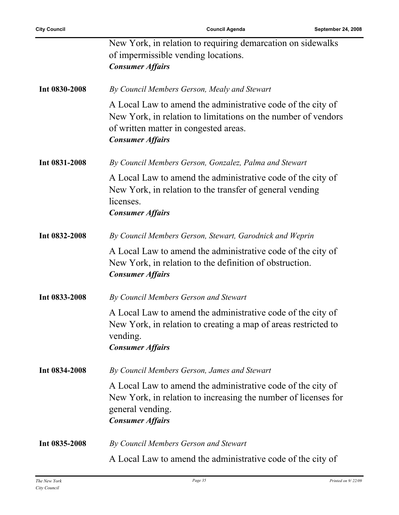|               | New York, in relation to requiring demarcation on sidewalks<br>of impermissible vending locations.<br><b>Consumer Affairs</b>                                                                    |
|---------------|--------------------------------------------------------------------------------------------------------------------------------------------------------------------------------------------------|
| Int 0830-2008 | By Council Members Gerson, Mealy and Stewart                                                                                                                                                     |
|               | A Local Law to amend the administrative code of the city of<br>New York, in relation to limitations on the number of vendors<br>of written matter in congested areas.<br><b>Consumer Affairs</b> |
| Int 0831-2008 | By Council Members Gerson, Gonzalez, Palma and Stewart                                                                                                                                           |
|               | A Local Law to amend the administrative code of the city of<br>New York, in relation to the transfer of general vending<br>licenses.<br><b>Consumer Affairs</b>                                  |
| Int 0832-2008 | By Council Members Gerson, Stewart, Garodnick and Weprin                                                                                                                                         |
|               | A Local Law to amend the administrative code of the city of<br>New York, in relation to the definition of obstruction.<br><b>Consumer Affairs</b>                                                |
| Int 0833-2008 | By Council Members Gerson and Stewart                                                                                                                                                            |
|               | A Local Law to amend the administrative code of the city of<br>New York, in relation to creating a map of areas restricted to<br>vending.<br><b>Consumer Affairs</b>                             |
| Int 0834-2008 | By Council Members Gerson, James and Stewart                                                                                                                                                     |
|               | A Local Law to amend the administrative code of the city of<br>New York, in relation to increasing the number of licenses for<br>general vending.<br><b>Consumer Affairs</b>                     |
| Int 0835-2008 | By Council Members Gerson and Stewart                                                                                                                                                            |
|               | A Local Law to amend the administrative code of the city of                                                                                                                                      |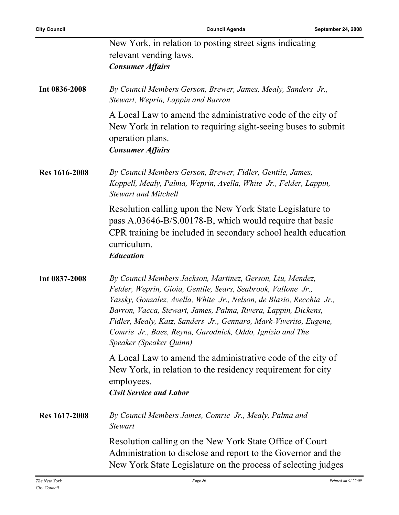|                      | New York, in relation to posting street signs indicating<br>relevant vending laws.                                                                                                                                                                                                                                                                                                                                                 |
|----------------------|------------------------------------------------------------------------------------------------------------------------------------------------------------------------------------------------------------------------------------------------------------------------------------------------------------------------------------------------------------------------------------------------------------------------------------|
|                      | <b>Consumer Affairs</b>                                                                                                                                                                                                                                                                                                                                                                                                            |
| Int 0836-2008        | By Council Members Gerson, Brewer, James, Mealy, Sanders Jr.,<br>Stewart, Weprin, Lappin and Barron                                                                                                                                                                                                                                                                                                                                |
|                      | A Local Law to amend the administrative code of the city of<br>New York in relation to requiring sight-seeing buses to submit<br>operation plans.<br><b>Consumer Affairs</b>                                                                                                                                                                                                                                                       |
| <b>Res</b> 1616-2008 | By Council Members Gerson, Brewer, Fidler, Gentile, James,<br>Koppell, Mealy, Palma, Weprin, Avella, White Jr., Felder, Lappin,<br><b>Stewart and Mitchell</b>                                                                                                                                                                                                                                                                     |
|                      | Resolution calling upon the New York State Legislature to<br>pass A.03646-B/S.00178-B, which would require that basic<br>CPR training be included in secondary school health education<br>curriculum.<br><b>Education</b>                                                                                                                                                                                                          |
| Int 0837-2008        | By Council Members Jackson, Martinez, Gerson, Liu, Mendez,<br>Felder, Weprin, Gioia, Gentile, Sears, Seabrook, Vallone Jr.,<br>Yassky, Gonzalez, Avella, White Jr., Nelson, de Blasio, Recchia Jr.,<br>Barron, Vacca, Stewart, James, Palma, Rivera, Lappin, Dickens,<br>Fidler, Mealy, Katz, Sanders Jr., Gennaro, Mark-Viverito, Eugene,<br>Comrie Jr., Baez, Reyna, Garodnick, Oddo, Ignizio and The<br>Speaker (Speaker Quinn) |
|                      | A Local Law to amend the administrative code of the city of<br>New York, in relation to the residency requirement for city<br>employees.<br><b>Civil Service and Labor</b>                                                                                                                                                                                                                                                         |
| Res 1617-2008        | By Council Members James, Comrie Jr., Mealy, Palma and<br><b>Stewart</b>                                                                                                                                                                                                                                                                                                                                                           |
|                      | Resolution calling on the New York State Office of Court<br>Administration to disclose and report to the Governor and the<br>New York State Legislature on the process of selecting judges                                                                                                                                                                                                                                         |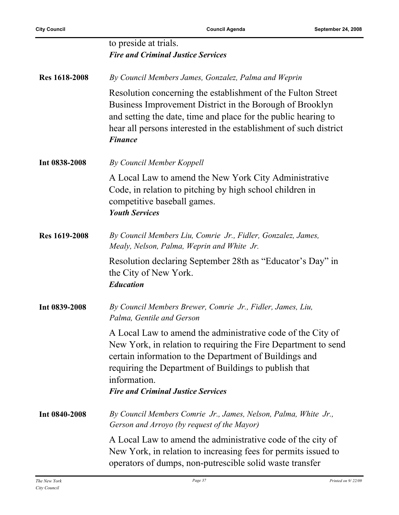|                      | to preside at trials.<br><b>Fire and Criminal Justice Services</b>                                                                                                                                                                                                                                            |
|----------------------|---------------------------------------------------------------------------------------------------------------------------------------------------------------------------------------------------------------------------------------------------------------------------------------------------------------|
| <b>Res</b> 1618-2008 | By Council Members James, Gonzalez, Palma and Weprin                                                                                                                                                                                                                                                          |
|                      | Resolution concerning the establishment of the Fulton Street<br>Business Improvement District in the Borough of Brooklyn<br>and setting the date, time and place for the public hearing to<br>hear all persons interested in the establishment of such district<br><b>Finance</b>                             |
| Int 0838-2008        | By Council Member Koppell                                                                                                                                                                                                                                                                                     |
|                      | A Local Law to amend the New York City Administrative<br>Code, in relation to pitching by high school children in<br>competitive baseball games.<br><b>Youth Services</b>                                                                                                                                     |
| <b>Res 1619-2008</b> | By Council Members Liu, Comrie Jr., Fidler, Gonzalez, James,<br>Mealy, Nelson, Palma, Weprin and White Jr.                                                                                                                                                                                                    |
|                      | Resolution declaring September 28th as "Educator's Day" in<br>the City of New York.<br><b>Education</b>                                                                                                                                                                                                       |
| Int 0839-2008        | By Council Members Brewer, Comrie Jr., Fidler, James, Liu,<br>Palma, Gentile and Gerson                                                                                                                                                                                                                       |
|                      | A Local Law to amend the administrative code of the City of<br>New York, in relation to requiring the Fire Department to send<br>certain information to the Department of Buildings and<br>requiring the Department of Buildings to publish that<br>information.<br><b>Fire and Criminal Justice Services</b> |
| Int 0840-2008        | By Council Members Comrie Jr., James, Nelson, Palma, White Jr.,<br>Gerson and Arroyo (by request of the Mayor)                                                                                                                                                                                                |
|                      | A Local Law to amend the administrative code of the city of<br>New York, in relation to increasing fees for permits issued to<br>operators of dumps, non-putrescible solid waste transfer                                                                                                                     |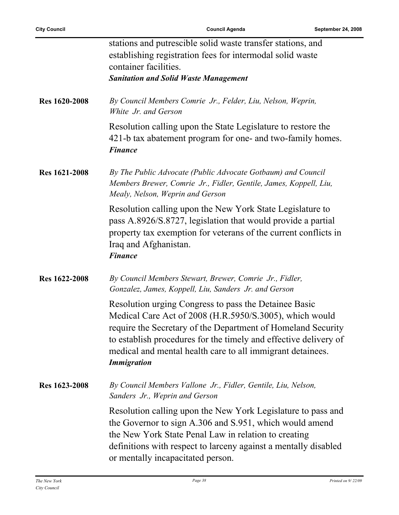ř.

|                      | stations and putrescible solid waste transfer stations, and<br>establishing registration fees for intermodal solid waste<br>container facilities.<br><b>Sanitation and Solid Waste Management</b>                                                                                                                                        |
|----------------------|------------------------------------------------------------------------------------------------------------------------------------------------------------------------------------------------------------------------------------------------------------------------------------------------------------------------------------------|
| <b>Res</b> 1620-2008 | By Council Members Comrie Jr., Felder, Liu, Nelson, Weprin,<br>White Jr. and Gerson                                                                                                                                                                                                                                                      |
|                      | Resolution calling upon the State Legislature to restore the<br>421-b tax abatement program for one- and two-family homes.<br><b>Finance</b>                                                                                                                                                                                             |
| <b>Res 1621-2008</b> | By The Public Advocate (Public Advocate Gotbaum) and Council<br>Members Brewer, Comrie Jr., Fidler, Gentile, James, Koppell, Liu,<br>Mealy, Nelson, Weprin and Gerson                                                                                                                                                                    |
|                      | Resolution calling upon the New York State Legislature to<br>pass A.8926/S.8727, legislation that would provide a partial<br>property tax exemption for veterans of the current conflicts in<br>Iraq and Afghanistan.<br><b>Finance</b>                                                                                                  |
| <b>Res 1622-2008</b> | By Council Members Stewart, Brewer, Comrie Jr., Fidler,<br>Gonzalez, James, Koppell, Liu, Sanders Jr. and Gerson                                                                                                                                                                                                                         |
|                      | Resolution urging Congress to pass the Detainee Basic<br>Medical Care Act of 2008 (H.R.5950/S.3005), which would<br>require the Secretary of the Department of Homeland Security<br>to establish procedures for the timely and effective delivery of<br>medical and mental health care to all immigrant detainees.<br><b>Immigration</b> |
| Res 1623-2008        | By Council Members Vallone Jr., Fidler, Gentile, Liu, Nelson,<br>Sanders Jr., Weprin and Gerson                                                                                                                                                                                                                                          |
|                      | Resolution calling upon the New York Legislature to pass and<br>the Governor to sign A.306 and S.951, which would amend<br>the New York State Penal Law in relation to creating<br>definitions with respect to larceny against a mentally disabled<br>or mentally incapacitated person.                                                  |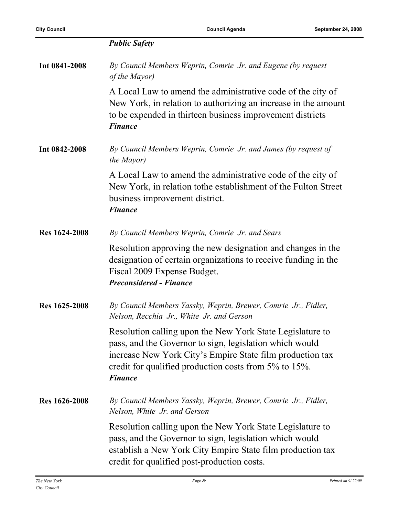|                      | <b>Public Safety</b>                                                                                                                                                                                                                                         |
|----------------------|--------------------------------------------------------------------------------------------------------------------------------------------------------------------------------------------------------------------------------------------------------------|
| Int 0841-2008        | By Council Members Weprin, Comrie Jr. and Eugene (by request<br>of the Mayor)                                                                                                                                                                                |
|                      | A Local Law to amend the administrative code of the city of<br>New York, in relation to authorizing an increase in the amount<br>to be expended in thirteen business improvement districts<br><b>Finance</b>                                                 |
| Int 0842-2008        | By Council Members Weprin, Comrie Jr. and James (by request of<br>the Mayor)                                                                                                                                                                                 |
|                      | A Local Law to amend the administrative code of the city of<br>New York, in relation to the establishment of the Fulton Street<br>business improvement district.<br><b>Finance</b>                                                                           |
| <b>Res 1624-2008</b> | By Council Members Weprin, Comrie Jr. and Sears                                                                                                                                                                                                              |
|                      | Resolution approving the new designation and changes in the<br>designation of certain organizations to receive funding in the<br>Fiscal 2009 Expense Budget.<br><b>Preconsidered - Finance</b>                                                               |
| Res 1625-2008        | By Council Members Yassky, Weprin, Brewer, Comrie Jr., Fidler,<br>Nelson, Recchia Jr., White Jr. and Gerson                                                                                                                                                  |
|                      | Resolution calling upon the New York State Legislature to<br>pass, and the Governor to sign, legislation which would<br>increase New York City's Empire State film production tax<br>credit for qualified production costs from 5% to 15%.<br><b>Finance</b> |
| <b>Res</b> 1626-2008 | By Council Members Yassky, Weprin, Brewer, Comrie Jr., Fidler,<br>Nelson, White Jr. and Gerson                                                                                                                                                               |
|                      | Resolution calling upon the New York State Legislature to<br>pass, and the Governor to sign, legislation which would<br>establish a New York City Empire State film production tax<br>credit for qualified post-production costs.                            |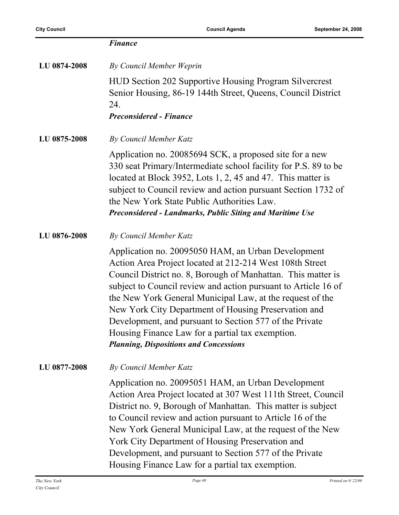|              | <b>Finance</b>                                                                                                                                                                                                                                                                                                                                                                                                                                                                                                                        |
|--------------|---------------------------------------------------------------------------------------------------------------------------------------------------------------------------------------------------------------------------------------------------------------------------------------------------------------------------------------------------------------------------------------------------------------------------------------------------------------------------------------------------------------------------------------|
| LU 0874-2008 | By Council Member Weprin                                                                                                                                                                                                                                                                                                                                                                                                                                                                                                              |
|              | HUD Section 202 Supportive Housing Program Silvercrest<br>Senior Housing, 86-19 144th Street, Queens, Council District<br>24.<br><b>Preconsidered - Finance</b>                                                                                                                                                                                                                                                                                                                                                                       |
| LU 0875-2008 | By Council Member Katz                                                                                                                                                                                                                                                                                                                                                                                                                                                                                                                |
|              | Application no. 20085694 SCK, a proposed site for a new<br>330 seat Primary/Intermediate school facility for P.S. 89 to be<br>located at Block 3952, Lots 1, 2, 45 and 47. This matter is<br>subject to Council review and action pursuant Section 1732 of<br>the New York State Public Authorities Law.<br>Preconsidered - Landmarks, Public Siting and Maritime Use                                                                                                                                                                 |
| LU 0876-2008 | By Council Member Katz                                                                                                                                                                                                                                                                                                                                                                                                                                                                                                                |
|              | Application no. 20095050 HAM, an Urban Development<br>Action Area Project located at 212-214 West 108th Street<br>Council District no. 8, Borough of Manhattan. This matter is<br>subject to Council review and action pursuant to Article 16 of<br>the New York General Municipal Law, at the request of the<br>New York City Department of Housing Preservation and<br>Development, and pursuant to Section 577 of the Private<br>Housing Finance Law for a partial tax exemption.<br><b>Planning, Dispositions and Concessions</b> |
| LU 0877-2008 | By Council Member Katz                                                                                                                                                                                                                                                                                                                                                                                                                                                                                                                |
|              | Application no. 20095051 HAM, an Urban Development<br>Action Area Project located at 307 West 111th Street, Council<br>District no. 9, Borough of Manhattan. This matter is subject<br>to Council review and action pursuant to Article 16 of the<br>New York General Municipal Law, at the request of the New<br>York City Department of Housing Preservation and<br>Development, and pursuant to Section 577 of the Private<br>Housing Finance Law for a partial tax exemption.                                                     |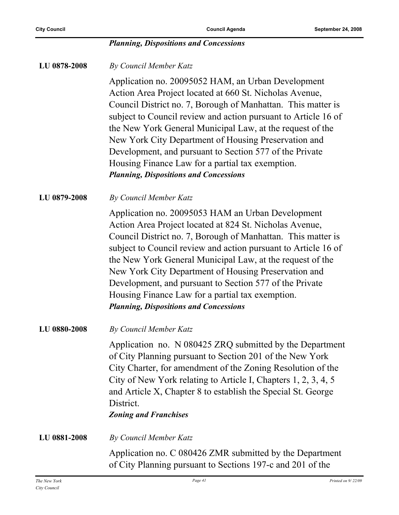#### *Planning, Dispositions and Concessions*

**LU 0878-2008** *By Council Member Katz*

Application no. 20095052 HAM, an Urban Development Action Area Project located at 660 St. Nicholas Avenue, Council District no. 7, Borough of Manhattan. This matter is subject to Council review and action pursuant to Article 16 of the New York General Municipal Law, at the request of the New York City Department of Housing Preservation and Development, and pursuant to Section 577 of the Private Housing Finance Law for a partial tax exemption. *Planning, Dispositions and Concessions*

**LU 0879-2008** *By Council Member Katz*

Application no. 20095053 HAM an Urban Development Action Area Project located at 824 St. Nicholas Avenue, Council District no. 7, Borough of Manhattan. This matter is subject to Council review and action pursuant to Article 16 of the New York General Municipal Law, at the request of the New York City Department of Housing Preservation and Development, and pursuant to Section 577 of the Private Housing Finance Law for a partial tax exemption. *Planning, Dispositions and Concessions*

**LU 0880-2008** *By Council Member Katz*

Application no. N 080425 ZRQ submitted by the Department of City Planning pursuant to Section 201 of the New York City Charter, for amendment of the Zoning Resolution of the City of New York relating to Article I, Chapters 1, 2, 3, 4, 5 and Article X, Chapter 8 to establish the Special St. George District.

*Zoning and Franchises*

**LU 0881-2008** *By Council Member Katz*

Application no. C 080426 ZMR submitted by the Department of City Planning pursuant to Sections 197-c and 201 of the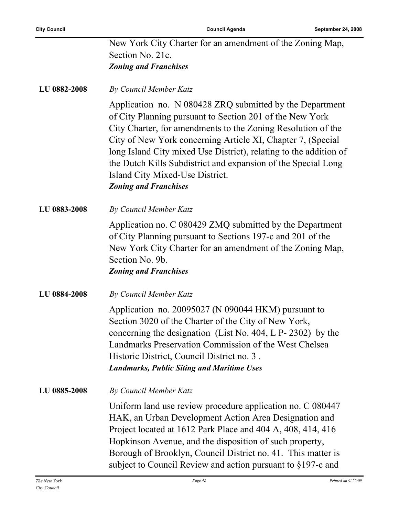| New York City Charter for an amendment of the Zoning Map, |
|-----------------------------------------------------------|
| Section No. 21c.                                          |
| <b>Zoning and Franchises</b>                              |

**LU 0882-2008** *By Council Member Katz*

Application no. N 080428 ZRQ submitted by the Department of City Planning pursuant to Section 201 of the New York City Charter, for amendments to the Zoning Resolution of the City of New York concerning Article XI, Chapter 7, (Special long Island City mixed Use District), relating to the addition of the Dutch Kills Subdistrict and expansion of the Special Long Island City Mixed-Use District. *Zoning and Franchises*

**LU 0883-2008** *By Council Member Katz*

Application no. C 080429 ZMQ submitted by the Department of City Planning pursuant to Sections 197-c and 201 of the New York City Charter for an amendment of the Zoning Map, Section No. 9b. *Zoning and Franchises*

**LU 0884-2008** *By Council Member Katz*

Application no. 20095027 (N 090044 HKM) pursuant to Section 3020 of the Charter of the City of New York, concerning the designation (List No. 404, L P- 2302) by the Landmarks Preservation Commission of the West Chelsea Historic District, Council District no. 3 . *Landmarks, Public Siting and Maritime Uses*

**LU 0885-2008** *By Council Member Katz*

Uniform land use review procedure application no. C 080447 HAK, an Urban Development Action Area Designation and Project located at 1612 Park Place and 404 A, 408, 414, 416 Hopkinson Avenue, and the disposition of such property, Borough of Brooklyn, Council District no. 41. This matter is subject to Council Review and action pursuant to §197-c and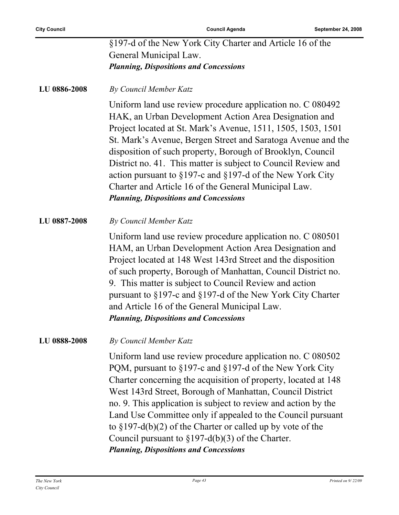| <b>Planning, Dispositions and Concessions</b>             |  |
|-----------------------------------------------------------|--|
| General Municipal Law.                                    |  |
| §197-d of the New York City Charter and Article 16 of the |  |

**LU 0886-2008** *By Council Member Katz*

Uniform land use review procedure application no. C 080492 HAK, an Urban Development Action Area Designation and Project located at St. Mark's Avenue, 1511, 1505, 1503, 1501 St. Mark's Avenue, Bergen Street and Saratoga Avenue and the disposition of such property, Borough of Brooklyn, Council District no. 41. This matter is subject to Council Review and action pursuant to §197-c and §197-d of the New York City Charter and Article 16 of the General Municipal Law. *Planning, Dispositions and Concessions*

**LU 0887-2008** *By Council Member Katz*

Uniform land use review procedure application no. C 080501 HAM, an Urban Development Action Area Designation and Project located at 148 West 143rd Street and the disposition of such property, Borough of Manhattan, Council District no. 9. This matter is subject to Council Review and action pursuant to §197-c and §197-d of the New York City Charter and Article 16 of the General Municipal Law. *Planning, Dispositions and Concessions*

#### **LU 0888-2008** *By Council Member Katz*

Uniform land use review procedure application no. C 080502 PQM, pursuant to §197-c and §197-d of the New York City Charter concerning the acquisition of property, located at 148 West 143rd Street, Borough of Manhattan, Council District no. 9. This application is subject to review and action by the Land Use Committee only if appealed to the Council pursuant to §197-d(b)(2) of the Charter or called up by vote of the Council pursuant to  $\S 197-d(b)(3)$  of the Charter. *Planning, Dispositions and Concessions*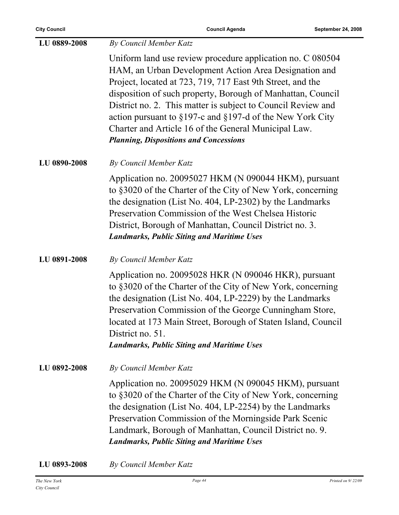| LU 0889-2008 | <b>By Council Member Katz</b>                                                                                                                                                                                                                                                                                                                                                                                                                                                                    |
|--------------|--------------------------------------------------------------------------------------------------------------------------------------------------------------------------------------------------------------------------------------------------------------------------------------------------------------------------------------------------------------------------------------------------------------------------------------------------------------------------------------------------|
|              | Uniform land use review procedure application no. C 080504<br>HAM, an Urban Development Action Area Designation and<br>Project, located at 723, 719, 717 East 9th Street, and the<br>disposition of such property, Borough of Manhattan, Council<br>District no. 2. This matter is subject to Council Review and<br>action pursuant to $\S 197$ -c and $\S 197$ -d of the New York City<br>Charter and Article 16 of the General Municipal Law.<br><b>Planning, Dispositions and Concessions</b> |
| LU 0890-2008 | By Council Member Katz                                                                                                                                                                                                                                                                                                                                                                                                                                                                           |
|              | Application no. 20095027 HKM (N 090044 HKM), pursuant<br>to §3020 of the Charter of the City of New York, concerning<br>the designation (List No. 404, LP-2302) by the Landmarks<br>Preservation Commission of the West Chelsea Historic<br>District, Borough of Manhattan, Council District no. 3.<br><b>Landmarks, Public Siting and Maritime Uses</b>                                                                                                                                         |
| LU 0891-2008 | By Council Member Katz                                                                                                                                                                                                                                                                                                                                                                                                                                                                           |
|              | Application no. 20095028 HKR (N 090046 HKR), pursuant<br>to §3020 of the Charter of the City of New York, concerning<br>the designation (List No. 404, LP-2229) by the Landmarks<br>Preservation Commission of the George Cunningham Store,<br>located at 173 Main Street, Borough of Staten Island, Council<br>District no. 51.<br><b>Landmarks, Public Siting and Maritime Uses</b>                                                                                                            |
| LU 0892-2008 | <b>By Council Member Katz</b>                                                                                                                                                                                                                                                                                                                                                                                                                                                                    |
|              | Application no. 20095029 HKM (N 090045 HKM), pursuant<br>to §3020 of the Charter of the City of New York, concerning<br>the designation (List No. 404, LP-2254) by the Landmarks<br>Preservation Commission of the Morningside Park Scenic<br>Landmark, Borough of Manhattan, Council District no. 9.<br><b>Landmarks, Public Siting and Maritime Uses</b>                                                                                                                                       |
|              |                                                                                                                                                                                                                                                                                                                                                                                                                                                                                                  |

**LU 0893-2008** *By Council Member Katz*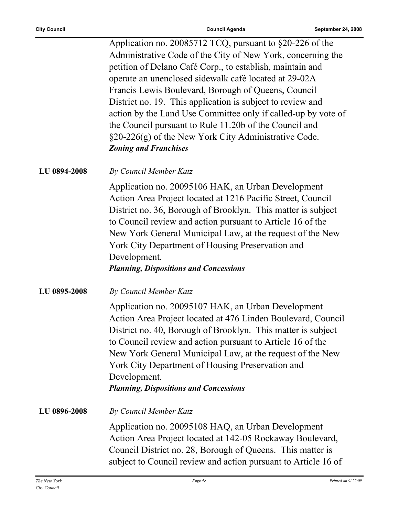| Application no. 20085712 TCQ, pursuant to §20-226 of the      |
|---------------------------------------------------------------|
| Administrative Code of the City of New York, concerning the   |
| petition of Delano Café Corp., to establish, maintain and     |
| operate an unenclosed sidewalk café located at 29-02A         |
| Francis Lewis Boulevard, Borough of Queens, Council           |
| District no. 19. This application is subject to review and    |
| action by the Land Use Committee only if called-up by vote of |
| the Council pursuant to Rule 11.20b of the Council and        |
| $\S20-226(g)$ of the New York City Administrative Code.       |
| <b>Zoning and Franchises</b>                                  |
|                                                               |

#### **LU 0894-2008** *By Council Member Katz*

Application no. 20095106 HAK, an Urban Development Action Area Project located at 1216 Pacific Street, Council District no. 36, Borough of Brooklyn. This matter is subject to Council review and action pursuant to Article 16 of the New York General Municipal Law, at the request of the New York City Department of Housing Preservation and Development.

#### *Planning, Dispositions and Concessions*

#### **LU 0895-2008** *By Council Member Katz*

Application no. 20095107 HAK, an Urban Development Action Area Project located at 476 Linden Boulevard, Council District no. 40, Borough of Brooklyn. This matter is subject to Council review and action pursuant to Article 16 of the New York General Municipal Law, at the request of the New York City Department of Housing Preservation and Development.

### *Planning, Dispositions and Concessions*

**LU 0896-2008** *By Council Member Katz*

Application no. 20095108 HAQ, an Urban Development Action Area Project located at 142-05 Rockaway Boulevard, Council District no. 28, Borough of Queens. This matter is subject to Council review and action pursuant to Article 16 of